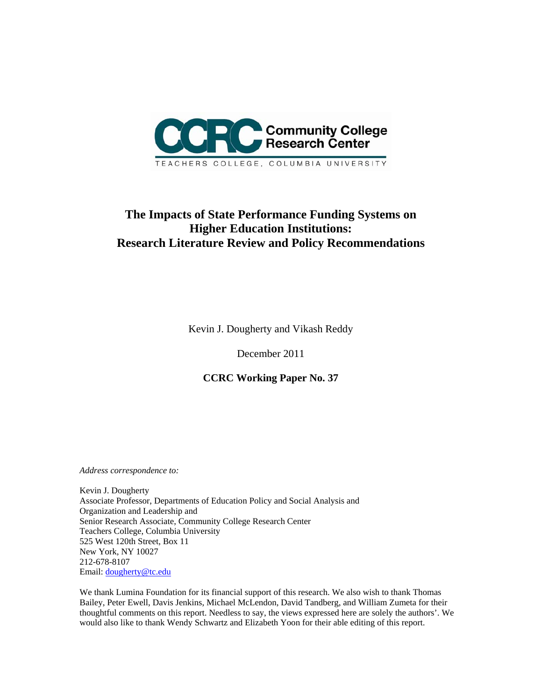

# **The Impacts of State Performance Funding Systems on Higher Education Institutions: Research Literature Review and Policy Recommendations**

Kevin J. Dougherty and Vikash Reddy

December 2011

**CCRC Working Paper No. 37** 

*Address correspondence to:* 

Kevin J. Dougherty Associate Professor, Departments of Education Policy and Social Analysis and Organization and Leadership and Senior Research Associate, Community College Research Center Teachers College, Columbia University 525 West 120th Street, Box 11 New York, NY 10027 212-678-8107 Email: dougherty@tc.edu

We thank Lumina Foundation for its financial support of this research. We also wish to thank Thomas Bailey, Peter Ewell, Davis Jenkins, Michael McLendon, David Tandberg, and William Zumeta for their thoughtful comments on this report. Needless to say, the views expressed here are solely the authors'. We would also like to thank Wendy Schwartz and Elizabeth Yoon for their able editing of this report.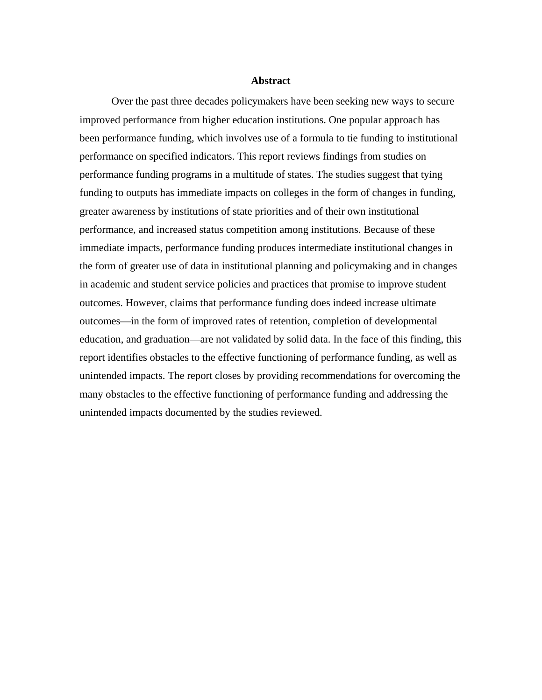#### **Abstract**

Over the past three decades policymakers have been seeking new ways to secure improved performance from higher education institutions. One popular approach has been performance funding, which involves use of a formula to tie funding to institutional performance on specified indicators. This report reviews findings from studies on performance funding programs in a multitude of states. The studies suggest that tying funding to outputs has immediate impacts on colleges in the form of changes in funding, greater awareness by institutions of state priorities and of their own institutional performance, and increased status competition among institutions. Because of these immediate impacts, performance funding produces intermediate institutional changes in the form of greater use of data in institutional planning and policymaking and in changes in academic and student service policies and practices that promise to improve student outcomes. However, claims that performance funding does indeed increase ultimate outcomes—in the form of improved rates of retention, completion of developmental education, and graduation—are not validated by solid data. In the face of this finding, this report identifies obstacles to the effective functioning of performance funding, as well as unintended impacts. The report closes by providing recommendations for overcoming the many obstacles to the effective functioning of performance funding and addressing the unintended impacts documented by the studies reviewed.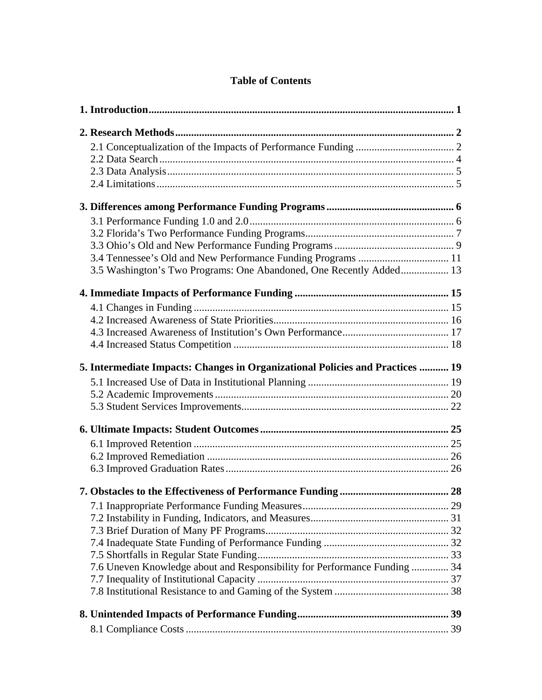## **Table of Contents**

| 3.4 Tennessee's Old and New Performance Funding Programs  11                  |  |
|-------------------------------------------------------------------------------|--|
| 3.5 Washington's Two Programs: One Abandoned, One Recently Added 13           |  |
|                                                                               |  |
|                                                                               |  |
|                                                                               |  |
|                                                                               |  |
|                                                                               |  |
| 5. Intermediate Impacts: Changes in Organizational Policies and Practices  19 |  |
|                                                                               |  |
|                                                                               |  |
|                                                                               |  |
|                                                                               |  |
|                                                                               |  |
|                                                                               |  |
|                                                                               |  |
|                                                                               |  |
|                                                                               |  |
|                                                                               |  |
|                                                                               |  |
|                                                                               |  |
|                                                                               |  |
| 7.6 Uneven Knowledge about and Responsibility for Performance Funding  34     |  |
|                                                                               |  |
|                                                                               |  |
|                                                                               |  |
|                                                                               |  |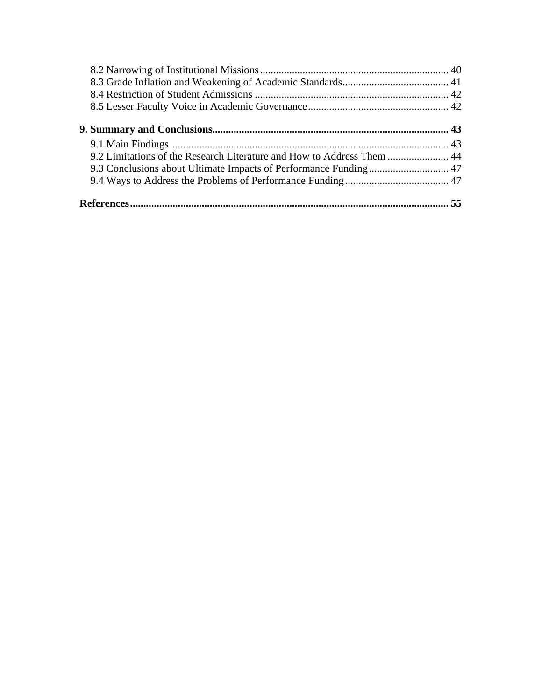| 9.2 Limitations of the Research Literature and How to Address Them  44 |  |
|------------------------------------------------------------------------|--|
|                                                                        |  |
|                                                                        |  |
|                                                                        |  |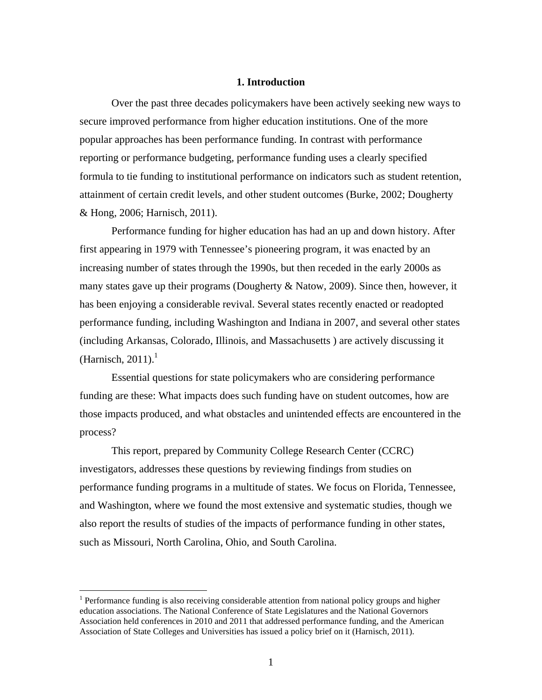## **1. Introduction**

Over the past three decades policymakers have been actively seeking new ways to secure improved performance from higher education institutions. One of the more popular approaches has been performance funding. In contrast with performance reporting or performance budgeting, performance funding uses a clearly specified formula to tie funding to institutional performance on indicators such as student retention, attainment of certain credit levels, and other student outcomes (Burke, 2002; Dougherty & Hong, 2006; Harnisch, 2011).

 Performance funding for higher education has had an up and down history. After first appearing in 1979 with Tennessee's pioneering program, it was enacted by an increasing number of states through the 1990s, but then receded in the early 2000s as many states gave up their programs (Dougherty & Natow, 2009). Since then, however, it has been enjoying a considerable revival. Several states recently enacted or readopted performance funding, including Washington and Indiana in 2007, and several other states (including Arkansas, Colorado, Illinois, and Massachusetts ) are actively discussing it (Harnisch, 2011). $<sup>1</sup>$ </sup>

 Essential questions for state policymakers who are considering performance funding are these: What impacts does such funding have on student outcomes, how are those impacts produced, and what obstacles and unintended effects are encountered in the process?

This report, prepared by Community College Research Center (CCRC) investigators, addresses these questions by reviewing findings from studies on performance funding programs in a multitude of states. We focus on Florida, Tennessee, and Washington, where we found the most extensive and systematic studies, though we also report the results of studies of the impacts of performance funding in other states, such as Missouri, North Carolina, Ohio, and South Carolina.

<sup>&</sup>lt;sup>1</sup> Performance funding is also receiving considerable attention from national policy groups and higher education associations. The National Conference of State Legislatures and the National Governors Association held conferences in 2010 and 2011 that addressed performance funding, and the American Association of State Colleges and Universities has issued a policy brief on it (Harnisch, 2011).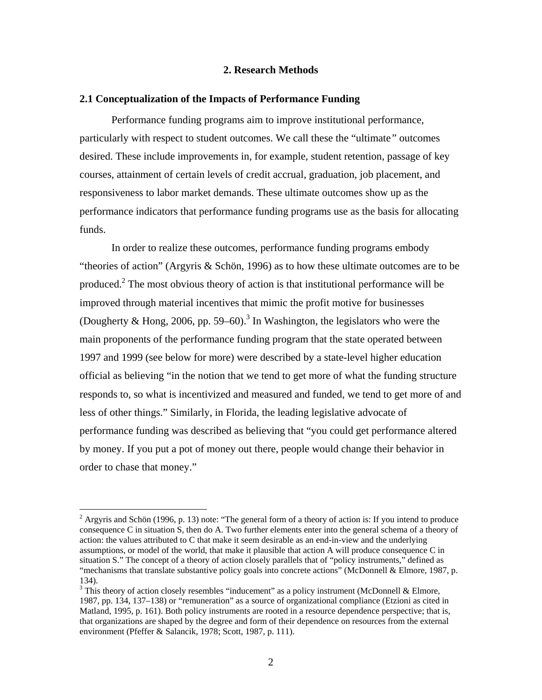## **2. Research Methods**

#### **2.1 Conceptualization of the Impacts of Performance Funding**

 Performance funding programs aim to improve institutional performance, particularly with respect to student outcomes. We call these the "ultimate*"* outcomes desired. These include improvements in, for example, student retention, passage of key courses, attainment of certain levels of credit accrual, graduation, job placement, and responsiveness to labor market demands. These ultimate outcomes show up as the performance indicators that performance funding programs use as the basis for allocating funds.

 In order to realize these outcomes, performance funding programs embody "theories of action" (Argyris & Schön, 1996) as to how these ultimate outcomes are to be produced.<sup>2</sup> The most obvious theory of action is that institutional performance will be improved through material incentives that mimic the profit motive for businesses (Dougherty & Hong, 2006, pp. 59–60).<sup>3</sup> In Washington, the legislators who were the main proponents of the performance funding program that the state operated between 1997 and 1999 (see below for more) were described by a state-level higher education official as believing "in the notion that we tend to get more of what the funding structure responds to, so what is incentivized and measured and funded, we tend to get more of and less of other things." Similarly, in Florida, the leading legislative advocate of performance funding was described as believing that "you could get performance altered by money. If you put a pot of money out there, people would change their behavior in order to chase that money."

<sup>&</sup>lt;sup>2</sup> Argyris and Schön (1996, p. 13) note: "The general form of a theory of action is: If you intend to produce consequence C in situation S, then do A. Two further elements enter into the general schema of a theory of action: the values attributed to C that make it seem desirable as an end-in-view and the underlying assumptions, or model of the world, that make it plausible that action A will produce consequence C in situation S." The concept of a theory of action closely parallels that of "policy instruments," defined as "mechanisms that translate substantive policy goals into concrete actions" (McDonnell & Elmore, 1987, p. 134).

 $3$  This theory of action closely resembles "inducement" as a policy instrument (McDonnell & Elmore, 1987, pp. 134, 137–138) or "remuneration" as a source of organizational compliance (Etzioni as cited in Matland, 1995, p. 161). Both policy instruments are rooted in a resource dependence perspective; that is, that organizations are shaped by the degree and form of their dependence on resources from the external environment (Pfeffer & Salancik, 1978; Scott, 1987, p. 111).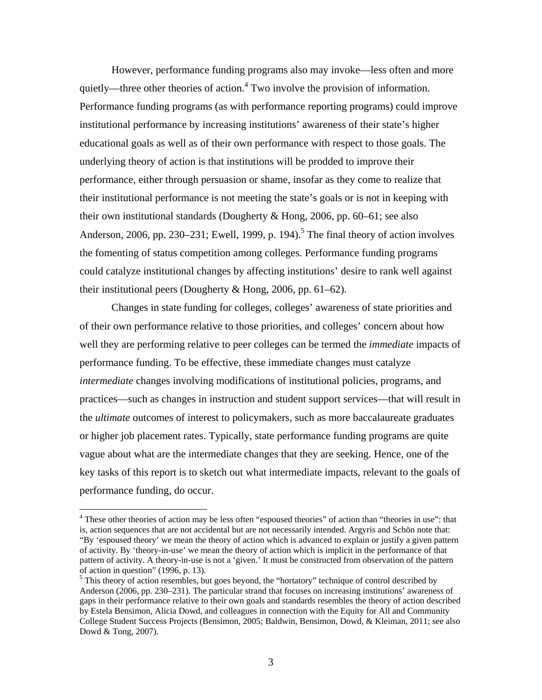However, performance funding programs also may invoke—less often and more quietly—three other theories of action.<sup>4</sup> Two involve the provision of information. Performance funding programs (as with performance reporting programs) could improve institutional performance by increasing institutions' awareness of their state's higher educational goals as well as of their own performance with respect to those goals. The underlying theory of action is that institutions will be prodded to improve their performance, either through persuasion or shame, insofar as they come to realize that their institutional performance is not meeting the state's goals or is not in keeping with their own institutional standards (Dougherty & Hong, 2006, pp. 60–61; see also Anderson, 2006, pp. 230–231; Ewell, 1999, p. 194).<sup>5</sup> The final theory of action involves the fomenting of status competition among colleges. Performance funding programs could catalyze institutional changes by affecting institutions' desire to rank well against their institutional peers (Dougherty & Hong, 2006, pp. 61–62).

Changes in state funding for colleges, colleges' awareness of state priorities and of their own performance relative to those priorities, and colleges' concern about how well they are performing relative to peer colleges can be termed the *immediate* impacts of performance funding. To be effective, these immediate changes must catalyze *intermediate* changes involving modifications of institutional policies, programs, and practices—such as changes in instruction and student support services—that will result in the *ultimate* outcomes of interest to policymakers, such as more baccalaureate graduates or higher job placement rates. Typically, state performance funding programs are quite vague about what are the intermediate changes that they are seeking. Hence, one of the key tasks of this report is to sketch out what intermediate impacts, relevant to the goals of performance funding, do occur.

<sup>&</sup>lt;sup>4</sup> These other theories of action may be less often "espoused theories" of action than "theories in use": that is, action sequences that are not accidental but are not necessarily intended. Argyris and Schön note that: "By 'espoused theory' we mean the theory of action which is advanced to explain or justify a given pattern of activity. By 'theory-in-use' we mean the theory of action which is implicit in the performance of that pattern of activity. A theory-in-use is not a 'given.' It must be constructed from observation of the pattern of action in question" (1996, p. 13).

<sup>&</sup>lt;sup>5</sup> This theory of action resembles, but goes beyond, the "hortatory" technique of control described by Anderson (2006, pp. 230–231). The particular strand that focuses on increasing institutions' awareness of gaps in their performance relative to their own goals and standards resembles the theory of action described by Estela Bensimon, Alicia Dowd, and colleagues in connection with the Equity for All and Community College Student Success Projects (Bensimon, 2005; Baldwin, Bensimon, Dowd, & Kleiman, 2011; see also Dowd & Tong, 2007).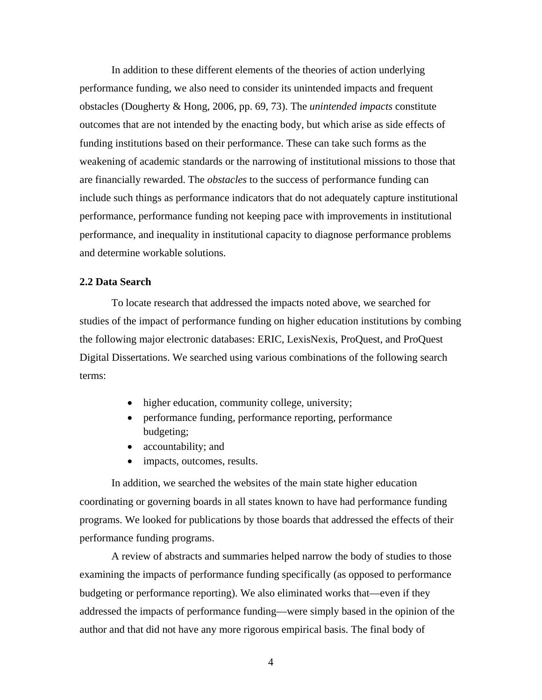In addition to these different elements of the theories of action underlying performance funding, we also need to consider its unintended impacts and frequent obstacles (Dougherty & Hong, 2006, pp. 69, 73). The *unintended impacts* constitute outcomes that are not intended by the enacting body, but which arise as side effects of funding institutions based on their performance. These can take such forms as the weakening of academic standards or the narrowing of institutional missions to those that are financially rewarded. The *obstacles* to the success of performance funding can include such things as performance indicators that do not adequately capture institutional performance, performance funding not keeping pace with improvements in institutional performance, and inequality in institutional capacity to diagnose performance problems and determine workable solutions.

## **2.2 Data Search**

To locate research that addressed the impacts noted above, we searched for studies of the impact of performance funding on higher education institutions by combing the following major electronic databases: ERIC, LexisNexis, ProQuest, and ProQuest Digital Dissertations. We searched using various combinations of the following search terms:

- higher education, community college, university;
- performance funding, performance reporting, performance budgeting;
- accountability; and
- impacts, outcomes, results.

 In addition, we searched the websites of the main state higher education coordinating or governing boards in all states known to have had performance funding programs. We looked for publications by those boards that addressed the effects of their performance funding programs.

 A review of abstracts and summaries helped narrow the body of studies to those examining the impacts of performance funding specifically (as opposed to performance budgeting or performance reporting). We also eliminated works that—even if they addressed the impacts of performance funding—were simply based in the opinion of the author and that did not have any more rigorous empirical basis. The final body of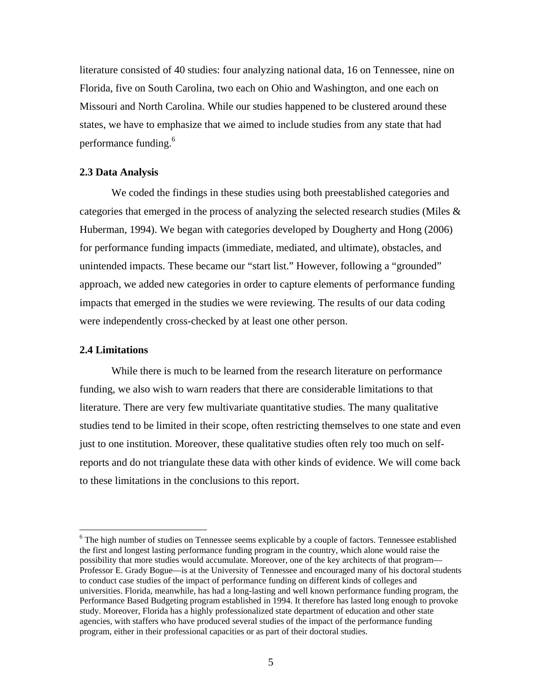literature consisted of 40 studies: four analyzing national data, 16 on Tennessee, nine on Florida, five on South Carolina, two each on Ohio and Washington, and one each on Missouri and North Carolina. While our studies happened to be clustered around these states, we have to emphasize that we aimed to include studies from any state that had performance funding.<sup>6</sup>

## **2.3 Data Analysis**

 We coded the findings in these studies using both preestablished categories and categories that emerged in the process of analyzing the selected research studies (Miles & Huberman, 1994). We began with categories developed by Dougherty and Hong (2006) for performance funding impacts (immediate, mediated, and ultimate), obstacles, and unintended impacts. These became our "start list." However, following a "grounded" approach, we added new categories in order to capture elements of performance funding impacts that emerged in the studies we were reviewing. The results of our data coding were independently cross-checked by at least one other person.

#### **2.4 Limitations**

1

 While there is much to be learned from the research literature on performance funding, we also wish to warn readers that there are considerable limitations to that literature. There are very few multivariate quantitative studies. The many qualitative studies tend to be limited in their scope, often restricting themselves to one state and even just to one institution. Moreover, these qualitative studies often rely too much on selfreports and do not triangulate these data with other kinds of evidence. We will come back to these limitations in the conclusions to this report.

 $6$  The high number of studies on Tennessee seems explicable by a couple of factors. Tennessee established the first and longest lasting performance funding program in the country, which alone would raise the possibility that more studies would accumulate. Moreover, one of the key architects of that program— Professor E. Grady Bogue—is at the University of Tennessee and encouraged many of his doctoral students to conduct case studies of the impact of performance funding on different kinds of colleges and universities. Florida, meanwhile, has had a long-lasting and well known performance funding program, the Performance Based Budgeting program established in 1994. It therefore has lasted long enough to provoke study. Moreover, Florida has a highly professionalized state department of education and other state agencies, with staffers who have produced several studies of the impact of the performance funding program, either in their professional capacities or as part of their doctoral studies.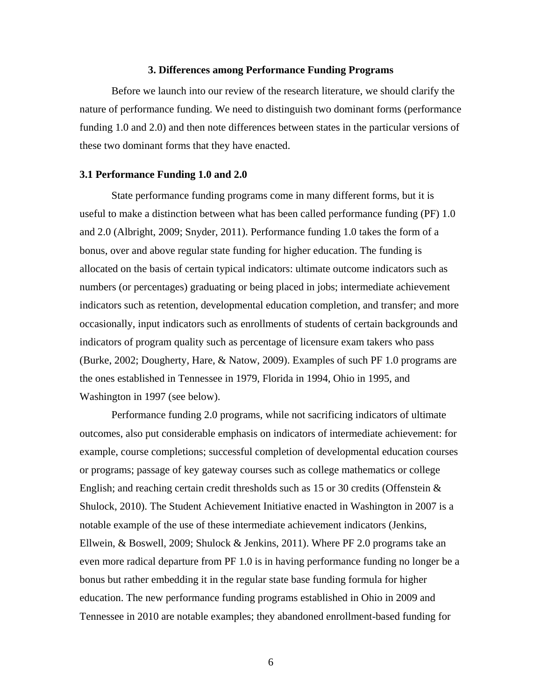## **3. Differences among Performance Funding Programs**

 Before we launch into our review of the research literature, we should clarify the nature of performance funding. We need to distinguish two dominant forms (performance funding 1.0 and 2.0) and then note differences between states in the particular versions of these two dominant forms that they have enacted.

### **3.1 Performance Funding 1.0 and 2.0**

 State performance funding programs come in many different forms, but it is useful to make a distinction between what has been called performance funding (PF) 1.0 and 2.0 (Albright, 2009; Snyder, 2011). Performance funding 1.0 takes the form of a bonus, over and above regular state funding for higher education. The funding is allocated on the basis of certain typical indicators: ultimate outcome indicators such as numbers (or percentages) graduating or being placed in jobs; intermediate achievement indicators such as retention, developmental education completion, and transfer; and more occasionally, input indicators such as enrollments of students of certain backgrounds and indicators of program quality such as percentage of licensure exam takers who pass (Burke, 2002; Dougherty, Hare, & Natow, 2009). Examples of such PF 1.0 programs are the ones established in Tennessee in 1979, Florida in 1994, Ohio in 1995, and Washington in 1997 (see below).

 Performance funding 2.0 programs, while not sacrificing indicators of ultimate outcomes, also put considerable emphasis on indicators of intermediate achievement: for example, course completions; successful completion of developmental education courses or programs; passage of key gateway courses such as college mathematics or college English; and reaching certain credit thresholds such as 15 or 30 credits (Offenstein  $\&$ Shulock, 2010). The Student Achievement Initiative enacted in Washington in 2007 is a notable example of the use of these intermediate achievement indicators (Jenkins, Ellwein, & Boswell, 2009; Shulock & Jenkins, 2011). Where PF 2.0 programs take an even more radical departure from PF 1.0 is in having performance funding no longer be a bonus but rather embedding it in the regular state base funding formula for higher education. The new performance funding programs established in Ohio in 2009 and Tennessee in 2010 are notable examples; they abandoned enrollment-based funding for

 $\sim$  6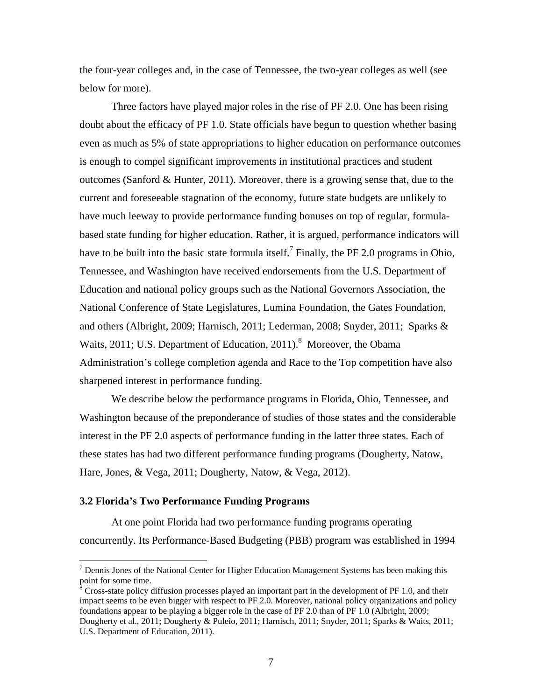the four-year colleges and, in the case of Tennessee, the two-year colleges as well (see below for more).

 Three factors have played major roles in the rise of PF 2.0. One has been rising doubt about the efficacy of PF 1.0. State officials have begun to question whether basing even as much as 5% of state appropriations to higher education on performance outcomes is enough to compel significant improvements in institutional practices and student outcomes (Sanford & Hunter, 2011). Moreover, there is a growing sense that, due to the current and foreseeable stagnation of the economy, future state budgets are unlikely to have much leeway to provide performance funding bonuses on top of regular, formulabased state funding for higher education. Rather, it is argued, performance indicators will have to be built into the basic state formula itself.<sup>7</sup> Finally, the PF 2.0 programs in Ohio, Tennessee, and Washington have received endorsements from the U.S. Department of Education and national policy groups such as the National Governors Association, the National Conference of State Legislatures, Lumina Foundation, the Gates Foundation, and others (Albright, 2009; Harnisch, 2011; Lederman, 2008; Snyder, 2011; Sparks & Waits, 2011; U.S. Department of Education, 2011).<sup>8</sup> Moreover, the Obama Administration's college completion agenda and Race to the Top competition have also sharpened interest in performance funding.

 We describe below the performance programs in Florida, Ohio, Tennessee, and Washington because of the preponderance of studies of those states and the considerable interest in the PF 2.0 aspects of performance funding in the latter three states. Each of these states has had two different performance funding programs (Dougherty, Natow, Hare, Jones, & Vega, 2011; Dougherty, Natow, & Vega, 2012).

#### **3.2 Florida's Two Performance Funding Programs**

 $\overline{a}$ 

 At one point Florida had two performance funding programs operating concurrently. Its Performance-Based Budgeting (PBB) program was established in 1994

 $<sup>7</sup>$  Dennis Jones of the National Center for Higher Education Management Systems has been making this</sup> point for some time.

 $8^8$  Cross-state policy diffusion processes played an important part in the development of PF 1.0, and their impact seems to be even bigger with respect to PF 2.0. Moreover, national policy organizations and policy foundations appear to be playing a bigger role in the case of PF 2.0 than of PF 1.0 (Albright, 2009; Dougherty et al., 2011; Dougherty & Puleio, 2011; Harnisch, 2011; Snyder, 2011; Sparks & Waits, 2011; U.S. Department of Education, 2011).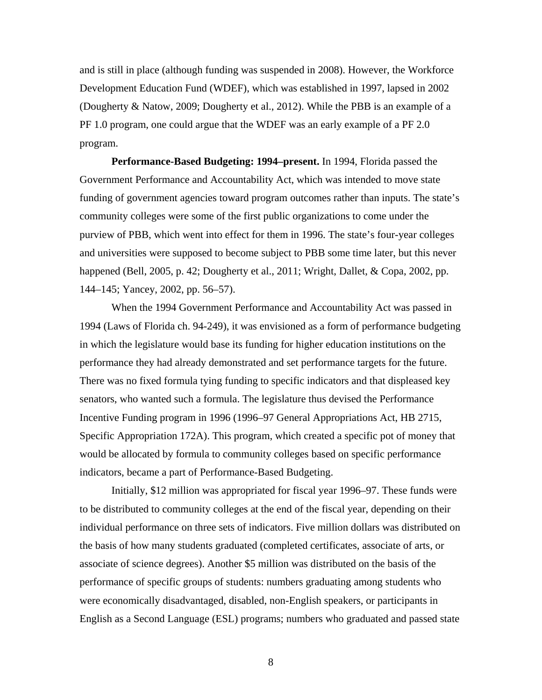and is still in place (although funding was suspended in 2008). However, the Workforce Development Education Fund (WDEF), which was established in 1997, lapsed in 2002 (Dougherty & Natow, 2009; Dougherty et al., 2012). While the PBB is an example of a PF 1.0 program, one could argue that the WDEF was an early example of a PF 2.0 program.

**Performance-Based Budgeting: 1994–present.** In 1994, Florida passed the Government Performance and Accountability Act, which was intended to move state funding of government agencies toward program outcomes rather than inputs. The state's community colleges were some of the first public organizations to come under the purview of PBB, which went into effect for them in 1996. The state's four-year colleges and universities were supposed to become subject to PBB some time later, but this never happened (Bell, 2005, p. 42; Dougherty et al., 2011; Wright, Dallet, & Copa, 2002, pp. 144–145; Yancey, 2002, pp. 56–57).

When the 1994 Government Performance and Accountability Act was passed in 1994 (Laws of Florida ch. 94-249), it was envisioned as a form of performance budgeting in which the legislature would base its funding for higher education institutions on the performance they had already demonstrated and set performance targets for the future. There was no fixed formula tying funding to specific indicators and that displeased key senators, who wanted such a formula. The legislature thus devised the Performance Incentive Funding program in 1996 (1996–97 General Appropriations Act, HB 2715, Specific Appropriation 172A). This program, which created a specific pot of money that would be allocated by formula to community colleges based on specific performance indicators, became a part of Performance-Based Budgeting.

Initially, \$12 million was appropriated for fiscal year 1996–97. These funds were to be distributed to community colleges at the end of the fiscal year, depending on their individual performance on three sets of indicators. Five million dollars was distributed on the basis of how many students graduated (completed certificates, associate of arts, or associate of science degrees). Another \$5 million was distributed on the basis of the performance of specific groups of students: numbers graduating among students who were economically disadvantaged, disabled, non-English speakers, or participants in English as a Second Language (ESL) programs; numbers who graduated and passed state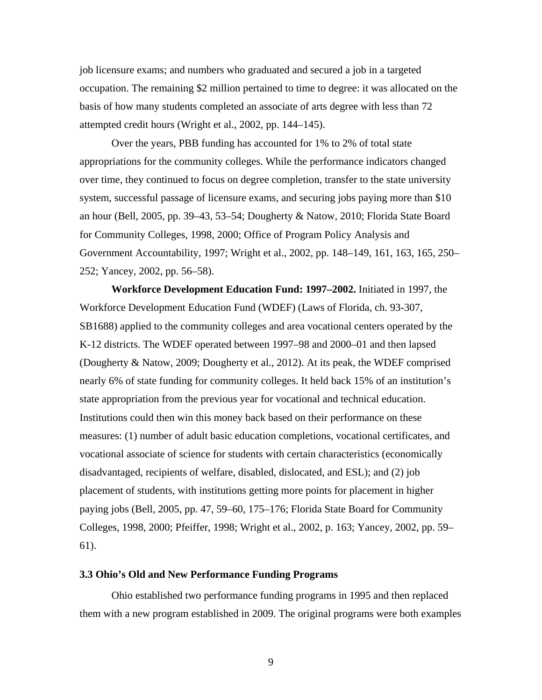job licensure exams; and numbers who graduated and secured a job in a targeted occupation. The remaining \$2 million pertained to time to degree: it was allocated on the basis of how many students completed an associate of arts degree with less than 72 attempted credit hours (Wright et al., 2002, pp. 144–145).

Over the years, PBB funding has accounted for 1% to 2% of total state appropriations for the community colleges. While the performance indicators changed over time, they continued to focus on degree completion, transfer to the state university system, successful passage of licensure exams, and securing jobs paying more than \$10 an hour (Bell, 2005, pp. 39–43, 53–54; Dougherty & Natow, 2010; Florida State Board for Community Colleges, 1998, 2000; Office of Program Policy Analysis and Government Accountability, 1997; Wright et al., 2002, pp. 148–149, 161, 163, 165, 250– 252; Yancey, 2002, pp. 56–58).

**Workforce Development Education Fund: 1997–2002.** Initiated in 1997, the Workforce Development Education Fund (WDEF) (Laws of Florida, ch. 93-307, SB1688) applied to the community colleges and area vocational centers operated by the K-12 districts. The WDEF operated between 1997–98 and 2000–01 and then lapsed (Dougherty & Natow, 2009; Dougherty et al., 2012). At its peak, the WDEF comprised nearly 6% of state funding for community colleges. It held back 15% of an institution's state appropriation from the previous year for vocational and technical education. Institutions could then win this money back based on their performance on these measures: (1) number of adult basic education completions, vocational certificates, and vocational associate of science for students with certain characteristics (economically disadvantaged, recipients of welfare, disabled, dislocated, and ESL); and (2) job placement of students, with institutions getting more points for placement in higher paying jobs (Bell, 2005, pp. 47, 59–60, 175–176; Florida State Board for Community Colleges, 1998, 2000; Pfeiffer, 1998; Wright et al., 2002, p. 163; Yancey, 2002, pp. 59– 61).

#### **3.3 Ohio's Old and New Performance Funding Programs**

 Ohio established two performance funding programs in 1995 and then replaced them with a new program established in 2009. The original programs were both examples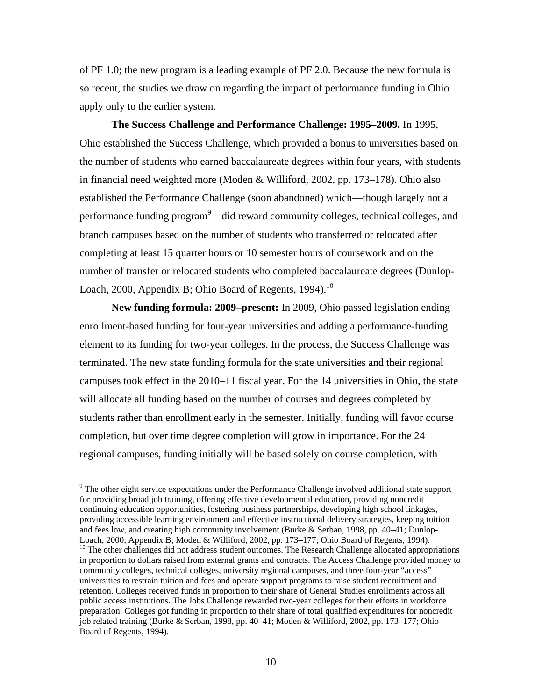of PF 1.0; the new program is a leading example of PF 2.0. Because the new formula is so recent, the studies we draw on regarding the impact of performance funding in Ohio apply only to the earlier system.

**The Success Challenge and Performance Challenge: 1995–2009.** In 1995, Ohio established the Success Challenge, which provided a bonus to universities based on the number of students who earned baccalaureate degrees within four years, with students in financial need weighted more (Moden & Williford, 2002, pp. 173–178). Ohio also established the Performance Challenge (soon abandoned) which—though largely not a performance funding program<sup>9</sup>—did reward community colleges, technical colleges, and branch campuses based on the number of students who transferred or relocated after completing at least 15 quarter hours or 10 semester hours of coursework and on the number of transfer or relocated students who completed baccalaureate degrees (Dunlop-Loach, 2000, Appendix B; Ohio Board of Regents, 1994).<sup>10</sup>

**New funding formula: 2009–present:** In 2009, Ohio passed legislation ending enrollment-based funding for four-year universities and adding a performance-funding element to its funding for two-year colleges. In the process, the Success Challenge was terminated. The new state funding formula for the state universities and their regional campuses took effect in the 2010–11 fiscal year. For the 14 universities in Ohio, the state will allocate all funding based on the number of courses and degrees completed by students rather than enrollment early in the semester. Initially, funding will favor course completion, but over time degree completion will grow in importance. For the 24 regional campuses, funding initially will be based solely on course completion, with

 $9$  The other eight service expectations under the Performance Challenge involved additional state support for providing broad job training, offering effective developmental education, providing noncredit continuing education opportunities, fostering business partnerships, developing high school linkages, providing accessible learning environment and effective instructional delivery strategies, keeping tuition and fees low, and creating high community involvement (Burke & Serban, 1998, pp. 40–41; Dunlop-Loach, 2000, Appendix B; Moden & Williford, 2002, pp. 173–177; Ohio Board of Regents, 1994).

<sup>&</sup>lt;sup>10</sup> The other challenges did not address student outcomes. The Research Challenge allocated appropriations in proportion to dollars raised from external grants and contracts. The Access Challenge provided money to community colleges, technical colleges, university regional campuses, and three four-year "access" universities to restrain tuition and fees and operate support programs to raise student recruitment and retention. Colleges received funds in proportion to their share of General Studies enrollments across all public access institutions. The Jobs Challenge rewarded two-year colleges for their efforts in workforce preparation. Colleges got funding in proportion to their share of total qualified expenditures for noncredit job related training (Burke & Serban, 1998, pp. 40–41; Moden & Williford, 2002, pp. 173–177; Ohio Board of Regents, 1994).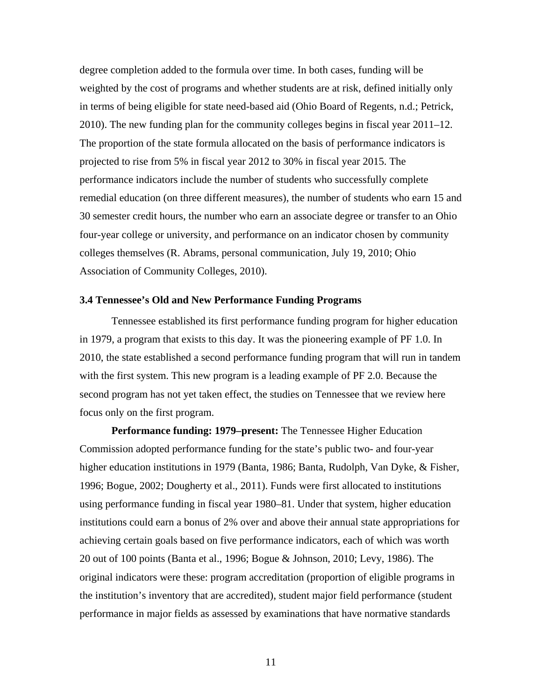degree completion added to the formula over time. In both cases, funding will be weighted by the cost of programs and whether students are at risk, defined initially only in terms of being eligible for state need-based aid (Ohio Board of Regents, n.d.; Petrick, 2010). The new funding plan for the community colleges begins in fiscal year 2011–12. The proportion of the state formula allocated on the basis of performance indicators is projected to rise from 5% in fiscal year 2012 to 30% in fiscal year 2015. The performance indicators include the number of students who successfully complete remedial education (on three different measures), the number of students who earn 15 and 30 semester credit hours, the number who earn an associate degree or transfer to an Ohio four-year college or university, and performance on an indicator chosen by community colleges themselves (R. Abrams, personal communication, July 19, 2010; Ohio Association of Community Colleges, 2010).

#### **3.4 Tennessee's Old and New Performance Funding Programs**

 Tennessee established its first performance funding program for higher education in 1979, a program that exists to this day. It was the pioneering example of PF 1.0. In 2010, the state established a second performance funding program that will run in tandem with the first system. This new program is a leading example of PF 2.0. Because the second program has not yet taken effect, the studies on Tennessee that we review here focus only on the first program.

**Performance funding: 1979–present:** The Tennessee Higher Education Commission adopted performance funding for the state's public two- and four-year higher education institutions in 1979 (Banta, 1986; Banta, Rudolph, Van Dyke, & Fisher, 1996; Bogue, 2002; Dougherty et al., 2011). Funds were first allocated to institutions using performance funding in fiscal year 1980–81. Under that system, higher education institutions could earn a bonus of 2% over and above their annual state appropriations for achieving certain goals based on five performance indicators, each of which was worth 20 out of 100 points (Banta et al., 1996; Bogue & Johnson, 2010; Levy, 1986). The original indicators were these: program accreditation (proportion of eligible programs in the institution's inventory that are accredited), student major field performance (student performance in major fields as assessed by examinations that have normative standards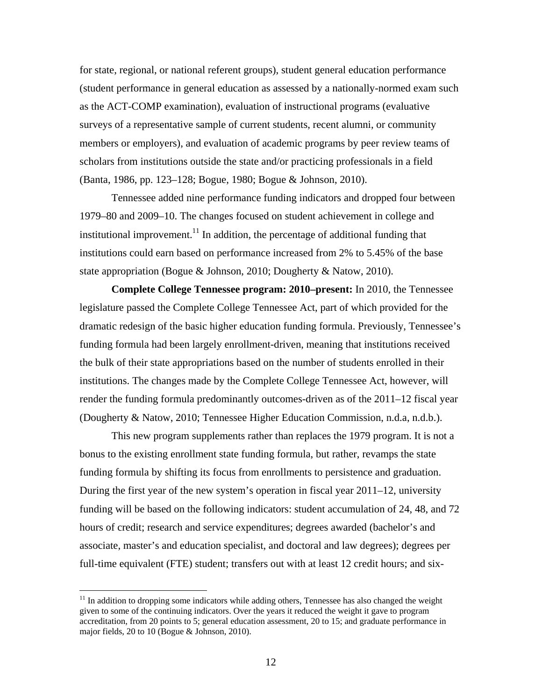for state, regional, or national referent groups), student general education performance (student performance in general education as assessed by a nationally-normed exam such as the ACT-COMP examination), evaluation of instructional programs (evaluative surveys of a representative sample of current students, recent alumni, or community members or employers), and evaluation of academic programs by peer review teams of scholars from institutions outside the state and/or practicing professionals in a field (Banta, 1986, pp. 123–128; Bogue, 1980; Bogue & Johnson, 2010).

Tennessee added nine performance funding indicators and dropped four between 1979–80 and 2009–10. The changes focused on student achievement in college and institutional improvement.<sup>11</sup> In addition, the percentage of additional funding that institutions could earn based on performance increased from 2% to 5.45% of the base state appropriation (Bogue & Johnson, 2010; Dougherty & Natow, 2010).

**Complete College Tennessee program: 2010–present:** In 2010, the Tennessee legislature passed the Complete College Tennessee Act, part of which provided for the dramatic redesign of the basic higher education funding formula. Previously, Tennessee's funding formula had been largely enrollment-driven, meaning that institutions received the bulk of their state appropriations based on the number of students enrolled in their institutions. The changes made by the Complete College Tennessee Act, however, will render the funding formula predominantly outcomes-driven as of the 2011–12 fiscal year (Dougherty & Natow, 2010; Tennessee Higher Education Commission, n.d.a, n.d.b.).

This new program supplements rather than replaces the 1979 program. It is not a bonus to the existing enrollment state funding formula, but rather, revamps the state funding formula by shifting its focus from enrollments to persistence and graduation. During the first year of the new system's operation in fiscal year 2011–12, university funding will be based on the following indicators: student accumulation of 24, 48, and 72 hours of credit; research and service expenditures; degrees awarded (bachelor's and associate, master's and education specialist, and doctoral and law degrees); degrees per full-time equivalent (FTE) student; transfers out with at least 12 credit hours; and six-

<u>.</u>

 $11$  In addition to dropping some indicators while adding others, Tennessee has also changed the weight given to some of the continuing indicators. Over the years it reduced the weight it gave to program accreditation, from 20 points to 5; general education assessment, 20 to 15; and graduate performance in major fields, 20 to 10 (Bogue & Johnson, 2010).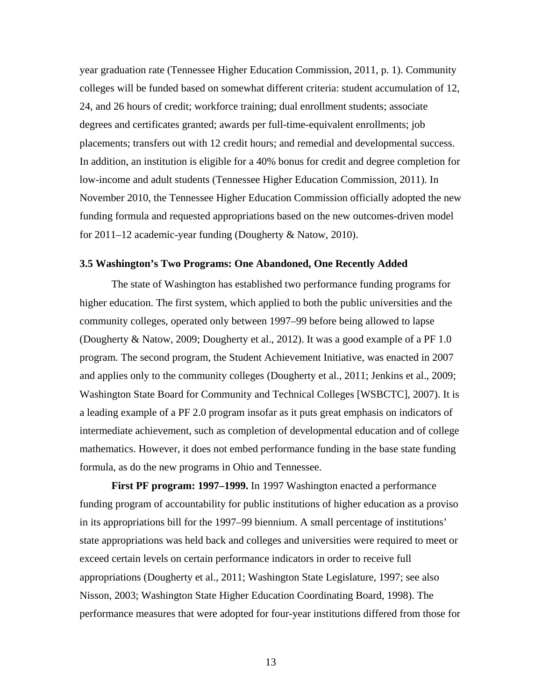year graduation rate (Tennessee Higher Education Commission, 2011, p. 1). Community colleges will be funded based on somewhat different criteria: student accumulation of 12, 24, and 26 hours of credit; workforce training; dual enrollment students; associate degrees and certificates granted; awards per full-time-equivalent enrollments; job placements; transfers out with 12 credit hours; and remedial and developmental success. In addition, an institution is eligible for a 40% bonus for credit and degree completion for low-income and adult students (Tennessee Higher Education Commission, 2011). In November 2010, the Tennessee Higher Education Commission officially adopted the new funding formula and requested appropriations based on the new outcomes-driven model for 2011–12 academic-year funding (Dougherty & Natow, 2010).

## **3.5 Washington's Two Programs: One Abandoned, One Recently Added**

 The state of Washington has established two performance funding programs for higher education. The first system, which applied to both the public universities and the community colleges, operated only between 1997–99 before being allowed to lapse (Dougherty & Natow, 2009; Dougherty et al., 2012). It was a good example of a PF 1.0 program. The second program, the Student Achievement Initiative, was enacted in 2007 and applies only to the community colleges (Dougherty et al., 2011; Jenkins et al., 2009; Washington State Board for Community and Technical Colleges [WSBCTC], 2007). It is a leading example of a PF 2.0 program insofar as it puts great emphasis on indicators of intermediate achievement, such as completion of developmental education and of college mathematics. However, it does not embed performance funding in the base state funding formula, as do the new programs in Ohio and Tennessee.

**First PF program: 1997–1999.** In 1997 Washington enacted a performance funding program of accountability for public institutions of higher education as a proviso in its appropriations bill for the 1997–99 biennium. A small percentage of institutions' state appropriations was held back and colleges and universities were required to meet or exceed certain levels on certain performance indicators in order to receive full appropriations (Dougherty et al., 2011; Washington State Legislature, 1997; see also Nisson, 2003; Washington State Higher Education Coordinating Board, 1998). The performance measures that were adopted for four-year institutions differed from those for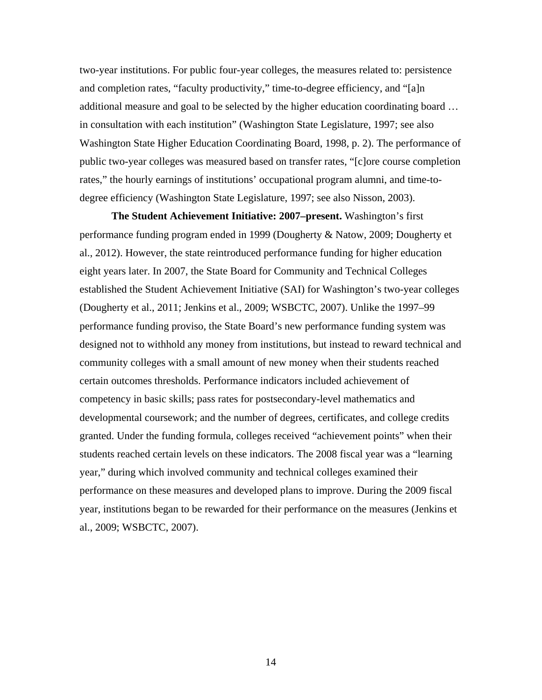two-year institutions. For public four-year colleges, the measures related to: persistence and completion rates, "faculty productivity," time-to-degree efficiency, and "[a]n additional measure and goal to be selected by the higher education coordinating board … in consultation with each institution" (Washington State Legislature, 1997; see also Washington State Higher Education Coordinating Board, 1998, p. 2). The performance of public two-year colleges was measured based on transfer rates, "[c]ore course completion rates," the hourly earnings of institutions' occupational program alumni, and time-todegree efficiency (Washington State Legislature, 1997; see also Nisson, 2003).

**The Student Achievement Initiative: 2007–present.** Washington's first performance funding program ended in 1999 (Dougherty & Natow, 2009; Dougherty et al., 2012). However, the state reintroduced performance funding for higher education eight years later. In 2007, the State Board for Community and Technical Colleges established the Student Achievement Initiative (SAI) for Washington's two-year colleges (Dougherty et al., 2011; Jenkins et al., 2009; WSBCTC, 2007). Unlike the 1997–99 performance funding proviso, the State Board's new performance funding system was designed not to withhold any money from institutions, but instead to reward technical and community colleges with a small amount of new money when their students reached certain outcomes thresholds. Performance indicators included achievement of competency in basic skills; pass rates for postsecondary-level mathematics and developmental coursework; and the number of degrees, certificates, and college credits granted. Under the funding formula, colleges received "achievement points" when their students reached certain levels on these indicators. The 2008 fiscal year was a "learning year," during which involved community and technical colleges examined their performance on these measures and developed plans to improve. During the 2009 fiscal year, institutions began to be rewarded for their performance on the measures (Jenkins et al., 2009; WSBCTC, 2007).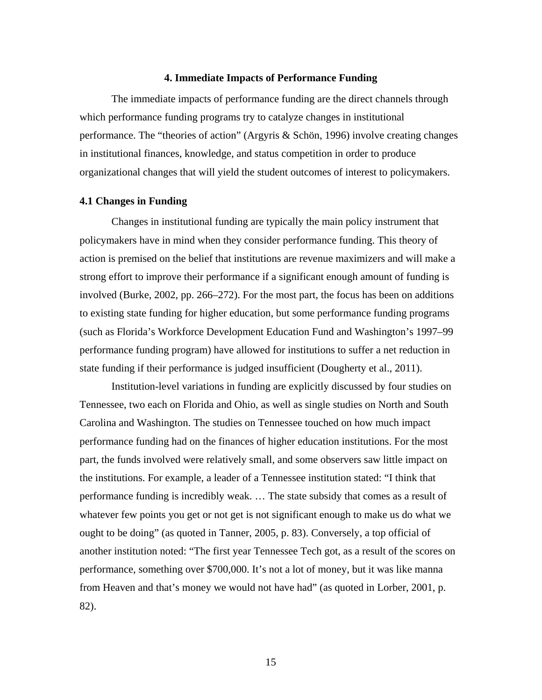#### **4. Immediate Impacts of Performance Funding**

 The immediate impacts of performance funding are the direct channels through which performance funding programs try to catalyze changes in institutional performance. The "theories of action" (Argyris & Schön, 1996) involve creating changes in institutional finances, knowledge, and status competition in order to produce organizational changes that will yield the student outcomes of interest to policymakers.

#### **4.1 Changes in Funding**

 Changes in institutional funding are typically the main policy instrument that policymakers have in mind when they consider performance funding. This theory of action is premised on the belief that institutions are revenue maximizers and will make a strong effort to improve their performance if a significant enough amount of funding is involved (Burke, 2002, pp. 266–272). For the most part, the focus has been on additions to existing state funding for higher education, but some performance funding programs (such as Florida's Workforce Development Education Fund and Washington's 1997–99 performance funding program) have allowed for institutions to suffer a net reduction in state funding if their performance is judged insufficient (Dougherty et al., 2011).

 Institution-level variations in funding are explicitly discussed by four studies on Tennessee, two each on Florida and Ohio, as well as single studies on North and South Carolina and Washington. The studies on Tennessee touched on how much impact performance funding had on the finances of higher education institutions. For the most part, the funds involved were relatively small, and some observers saw little impact on the institutions. For example, a leader of a Tennessee institution stated: "I think that performance funding is incredibly weak. … The state subsidy that comes as a result of whatever few points you get or not get is not significant enough to make us do what we ought to be doing" (as quoted in Tanner, 2005, p. 83). Conversely, a top official of another institution noted: "The first year Tennessee Tech got, as a result of the scores on performance, something over \$700,000. It's not a lot of money, but it was like manna from Heaven and that's money we would not have had" (as quoted in Lorber, 2001, p. 82).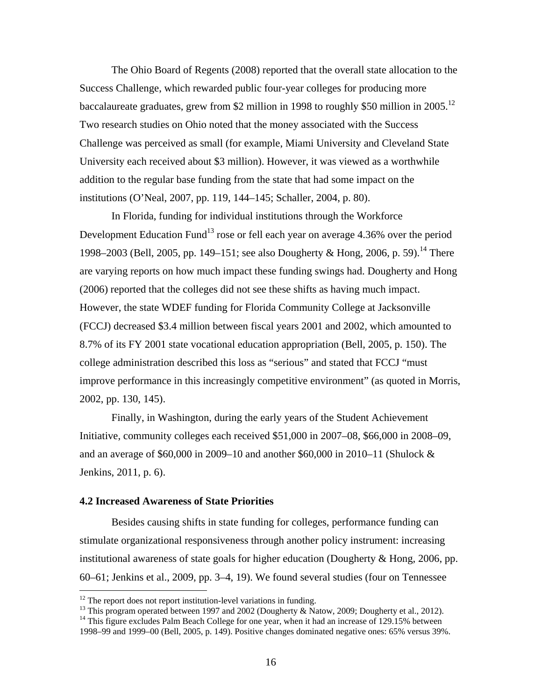The Ohio Board of Regents (2008) reported that the overall state allocation to the Success Challenge, which rewarded public four-year colleges for producing more baccalaureate graduates, grew from \$2 million in 1998 to roughly \$50 million in 2005.<sup>12</sup> Two research studies on Ohio noted that the money associated with the Success Challenge was perceived as small (for example, Miami University and Cleveland State University each received about \$3 million). However, it was viewed as a worthwhile addition to the regular base funding from the state that had some impact on the institutions (O'Neal, 2007, pp. 119, 144–145; Schaller, 2004, p. 80).

 In Florida, funding for individual institutions through the Workforce Development Education Fund<sup>13</sup> rose or fell each year on average  $4.36\%$  over the period 1998–2003 (Bell, 2005, pp. 149–151; see also Dougherty & Hong, 2006, p. 59).<sup>14</sup> There are varying reports on how much impact these funding swings had. Dougherty and Hong (2006) reported that the colleges did not see these shifts as having much impact. However, the state WDEF funding for Florida Community College at Jacksonville (FCCJ) decreased \$3.4 million between fiscal years 2001 and 2002, which amounted to 8.7% of its FY 2001 state vocational education appropriation (Bell, 2005, p. 150). The college administration described this loss as "serious" and stated that FCCJ "must improve performance in this increasingly competitive environment" (as quoted in Morris, 2002, pp. 130, 145).

 Finally, in Washington, during the early years of the Student Achievement Initiative, community colleges each received \$51,000 in 2007–08, \$66,000 in 2008–09, and an average of \$60,000 in 2009–10 and another \$60,000 in 2010–11 (Shulock & Jenkins, 2011, p. 6).

#### **4.2 Increased Awareness of State Priorities**

 $\overline{a}$ 

 Besides causing shifts in state funding for colleges, performance funding can stimulate organizational responsiveness through another policy instrument: increasing institutional awareness of state goals for higher education (Dougherty & Hong, 2006, pp. 60–61; Jenkins et al., 2009, pp. 3–4, 19). We found several studies (four on Tennessee

<sup>13</sup> This program operated between 1997 and 2002 (Dougherty & Natow, 2009; Dougherty et al., 2012).

 $12$  The report does not report institution-level variations in funding.

<sup>&</sup>lt;sup>14</sup> This figure excludes Palm Beach College for one year, when it had an increase of 129.15% between 1998–99 and 1999–00 (Bell, 2005, p. 149). Positive changes dominated negative ones: 65% versus 39%.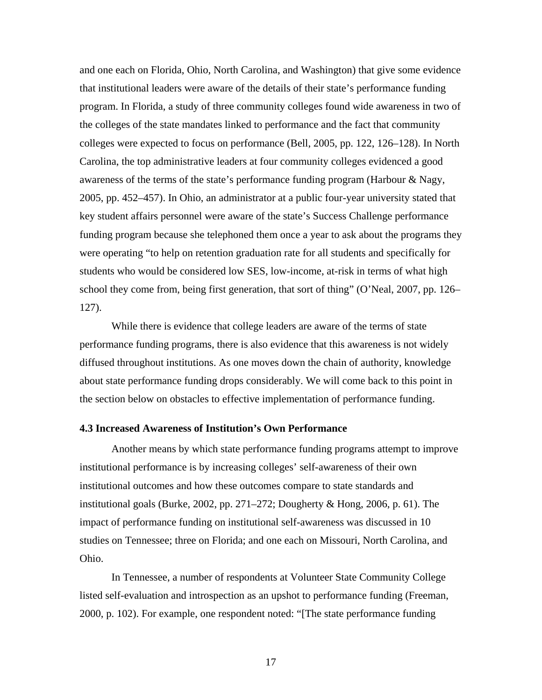and one each on Florida, Ohio, North Carolina, and Washington) that give some evidence that institutional leaders were aware of the details of their state's performance funding program. In Florida, a study of three community colleges found wide awareness in two of the colleges of the state mandates linked to performance and the fact that community colleges were expected to focus on performance (Bell, 2005, pp. 122, 126–128). In North Carolina, the top administrative leaders at four community colleges evidenced a good awareness of the terms of the state's performance funding program (Harbour & Nagy, 2005, pp. 452–457). In Ohio, an administrator at a public four-year university stated that key student affairs personnel were aware of the state's Success Challenge performance funding program because she telephoned them once a year to ask about the programs they were operating "to help on retention graduation rate for all students and specifically for students who would be considered low SES, low-income, at-risk in terms of what high school they come from, being first generation, that sort of thing" (O'Neal, 2007, pp. 126– 127).

 While there is evidence that college leaders are aware of the terms of state performance funding programs, there is also evidence that this awareness is not widely diffused throughout institutions. As one moves down the chain of authority, knowledge about state performance funding drops considerably. We will come back to this point in the section below on obstacles to effective implementation of performance funding.

#### **4.3 Increased Awareness of Institution's Own Performance**

 Another means by which state performance funding programs attempt to improve institutional performance is by increasing colleges' self-awareness of their own institutional outcomes and how these outcomes compare to state standards and institutional goals (Burke, 2002, pp. 271–272; Dougherty & Hong, 2006, p. 61). The impact of performance funding on institutional self-awareness was discussed in 10 studies on Tennessee; three on Florida; and one each on Missouri, North Carolina, and Ohio.

 In Tennessee, a number of respondents at Volunteer State Community College listed self-evaluation and introspection as an upshot to performance funding (Freeman, 2000, p. 102). For example, one respondent noted: "[The state performance funding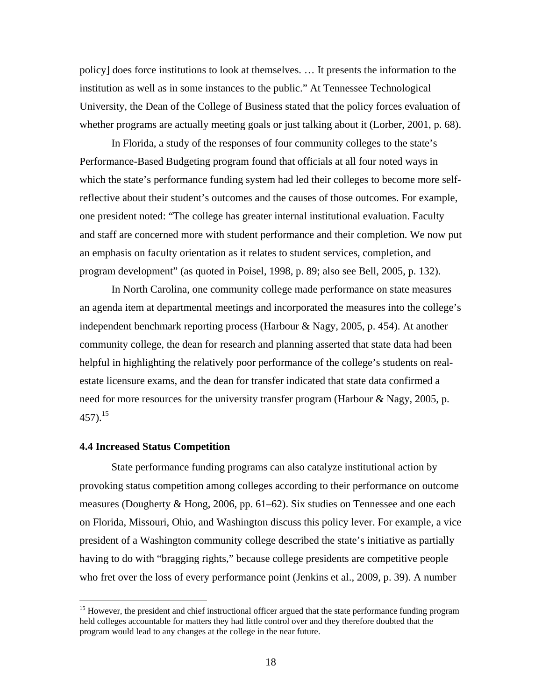policy] does force institutions to look at themselves. … It presents the information to the institution as well as in some instances to the public." At Tennessee Technological University, the Dean of the College of Business stated that the policy forces evaluation of whether programs are actually meeting goals or just talking about it (Lorber, 2001, p. 68).

 In Florida, a study of the responses of four community colleges to the state's Performance-Based Budgeting program found that officials at all four noted ways in which the state's performance funding system had led their colleges to become more selfreflective about their student's outcomes and the causes of those outcomes. For example, one president noted: "The college has greater internal institutional evaluation. Faculty and staff are concerned more with student performance and their completion. We now put an emphasis on faculty orientation as it relates to student services, completion, and program development" (as quoted in Poisel, 1998, p. 89; also see Bell, 2005, p. 132).

 In North Carolina, one community college made performance on state measures an agenda item at departmental meetings and incorporated the measures into the college's independent benchmark reporting process (Harbour & Nagy, 2005, p. 454). At another community college, the dean for research and planning asserted that state data had been helpful in highlighting the relatively poor performance of the college's students on realestate licensure exams, and the dean for transfer indicated that state data confirmed a need for more resources for the university transfer program (Harbour & Nagy, 2005, p.  $457$ ).<sup>15</sup>

## **4.4 Increased Status Competition**

 $\overline{a}$ 

 State performance funding programs can also catalyze institutional action by provoking status competition among colleges according to their performance on outcome measures (Dougherty & Hong, 2006, pp. 61–62). Six studies on Tennessee and one each on Florida, Missouri, Ohio, and Washington discuss this policy lever. For example, a vice president of a Washington community college described the state's initiative as partially having to do with "bragging rights," because college presidents are competitive people who fret over the loss of every performance point (Jenkins et al., 2009, p. 39). A number

<sup>&</sup>lt;sup>15</sup> However, the president and chief instructional officer argued that the state performance funding program held colleges accountable for matters they had little control over and they therefore doubted that the program would lead to any changes at the college in the near future.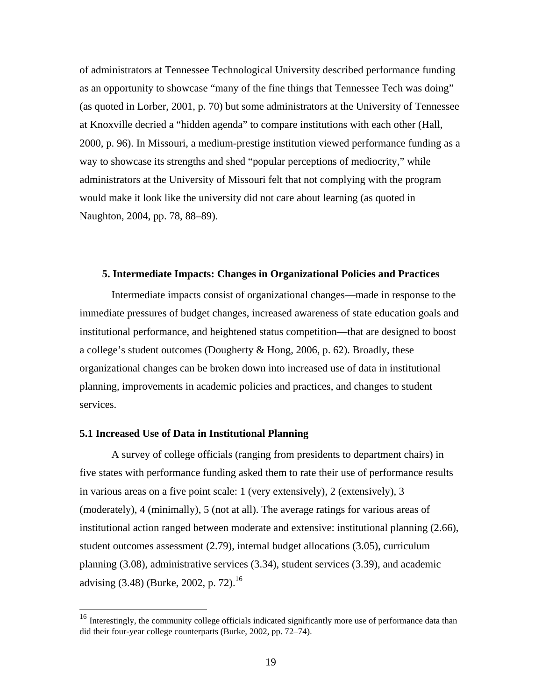of administrators at Tennessee Technological University described performance funding as an opportunity to showcase "many of the fine things that Tennessee Tech was doing" (as quoted in Lorber, 2001, p. 70) but some administrators at the University of Tennessee at Knoxville decried a "hidden agenda" to compare institutions with each other (Hall, 2000, p. 96). In Missouri, a medium-prestige institution viewed performance funding as a way to showcase its strengths and shed "popular perceptions of mediocrity," while administrators at the University of Missouri felt that not complying with the program would make it look like the university did not care about learning (as quoted in Naughton, 2004, pp. 78, 88–89).

## **5. Intermediate Impacts: Changes in Organizational Policies and Practices**

Intermediate impacts consist of organizational changes—made in response to the immediate pressures of budget changes, increased awareness of state education goals and institutional performance, and heightened status competition—that are designed to boost a college's student outcomes (Dougherty & Hong, 2006, p. 62). Broadly, these organizational changes can be broken down into increased use of data in institutional planning, improvements in academic policies and practices, and changes to student services.

## **5.1 Increased Use of Data in Institutional Planning**

1

 A survey of college officials (ranging from presidents to department chairs) in five states with performance funding asked them to rate their use of performance results in various areas on a five point scale: 1 (very extensively), 2 (extensively), 3 (moderately), 4 (minimally), 5 (not at all). The average ratings for various areas of institutional action ranged between moderate and extensive: institutional planning (2.66), student outcomes assessment (2.79), internal budget allocations (3.05), curriculum planning (3.08), administrative services (3.34), student services (3.39), and academic advising (3.48) (Burke, 2002, p. 72).<sup>16</sup>

<sup>&</sup>lt;sup>16</sup> Interestingly, the community college officials indicated significantly more use of performance data than did their four-year college counterparts (Burke, 2002, pp. 72–74).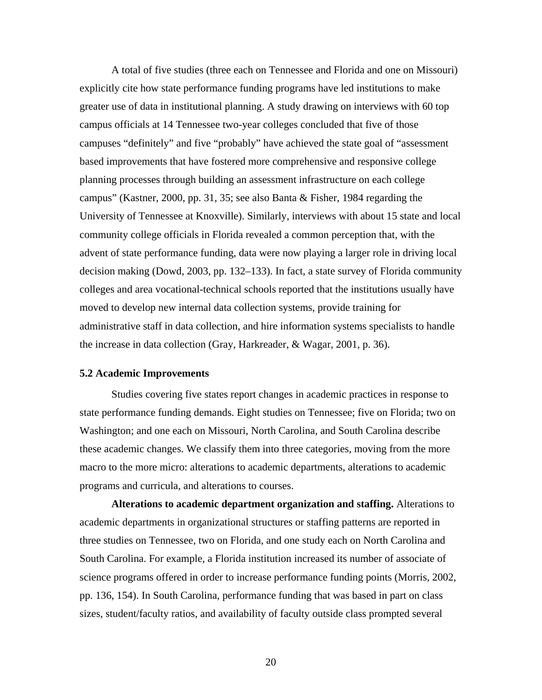A total of five studies (three each on Tennessee and Florida and one on Missouri) explicitly cite how state performance funding programs have led institutions to make greater use of data in institutional planning. A study drawing on interviews with 60 top campus officials at 14 Tennessee two-year colleges concluded that five of those campuses "definitely" and five "probably" have achieved the state goal of "assessment based improvements that have fostered more comprehensive and responsive college planning processes through building an assessment infrastructure on each college campus" (Kastner, 2000, pp. 31, 35; see also Banta & Fisher, 1984 regarding the University of Tennessee at Knoxville). Similarly, interviews with about 15 state and local community college officials in Florida revealed a common perception that, with the advent of state performance funding, data were now playing a larger role in driving local decision making (Dowd, 2003, pp. 132–133). In fact, a state survey of Florida community colleges and area vocational-technical schools reported that the institutions usually have moved to develop new internal data collection systems, provide training for administrative staff in data collection, and hire information systems specialists to handle the increase in data collection (Gray, Harkreader, & Wagar, 2001, p. 36).

#### **5.2 Academic Improvements**

 Studies covering five states report changes in academic practices in response to state performance funding demands. Eight studies on Tennessee; five on Florida; two on Washington; and one each on Missouri, North Carolina, and South Carolina describe these academic changes. We classify them into three categories, moving from the more macro to the more micro: alterations to academic departments, alterations to academic programs and curricula, and alterations to courses.

**Alterations to academic department organization and staffing.** Alterations to academic departments in organizational structures or staffing patterns are reported in three studies on Tennessee, two on Florida, and one study each on North Carolina and South Carolina. For example, a Florida institution increased its number of associate of science programs offered in order to increase performance funding points (Morris, 2002, pp. 136, 154). In South Carolina, performance funding that was based in part on class sizes, student/faculty ratios, and availability of faculty outside class prompted several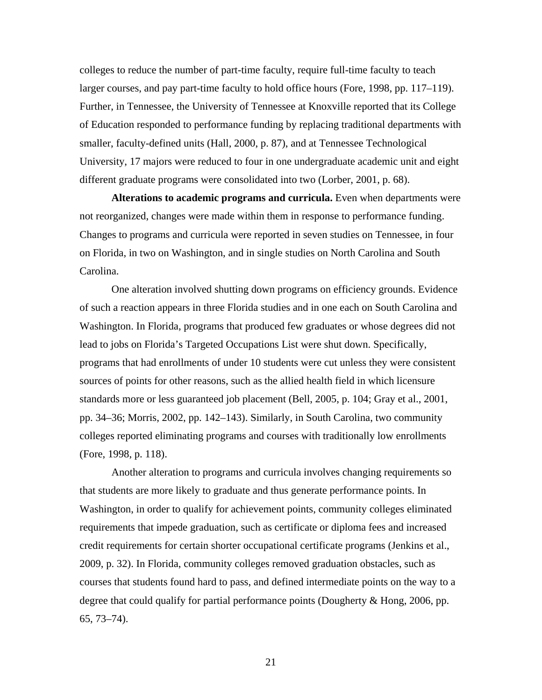colleges to reduce the number of part-time faculty, require full-time faculty to teach larger courses, and pay part-time faculty to hold office hours (Fore, 1998, pp. 117–119). Further, in Tennessee, the University of Tennessee at Knoxville reported that its College of Education responded to performance funding by replacing traditional departments with smaller, faculty-defined units (Hall, 2000, p. 87), and at Tennessee Technological University, 17 majors were reduced to four in one undergraduate academic unit and eight different graduate programs were consolidated into two (Lorber, 2001, p. 68).

**Alterations to academic programs and curricula.** Even when departments were not reorganized, changes were made within them in response to performance funding. Changes to programs and curricula were reported in seven studies on Tennessee, in four on Florida, in two on Washington, and in single studies on North Carolina and South Carolina.

 One alteration involved shutting down programs on efficiency grounds. Evidence of such a reaction appears in three Florida studies and in one each on South Carolina and Washington. In Florida, programs that produced few graduates or whose degrees did not lead to jobs on Florida's Targeted Occupations List were shut down. Specifically, programs that had enrollments of under 10 students were cut unless they were consistent sources of points for other reasons, such as the allied health field in which licensure standards more or less guaranteed job placement (Bell, 2005, p. 104; Gray et al., 2001, pp. 34–36; Morris, 2002, pp. 142–143). Similarly, in South Carolina, two community colleges reported eliminating programs and courses with traditionally low enrollments (Fore, 1998, p. 118).

 Another alteration to programs and curricula involves changing requirements so that students are more likely to graduate and thus generate performance points. In Washington, in order to qualify for achievement points, community colleges eliminated requirements that impede graduation, such as certificate or diploma fees and increased credit requirements for certain shorter occupational certificate programs (Jenkins et al., 2009, p. 32). In Florida, community colleges removed graduation obstacles, such as courses that students found hard to pass, and defined intermediate points on the way to a degree that could qualify for partial performance points (Dougherty & Hong, 2006, pp. 65, 73–74).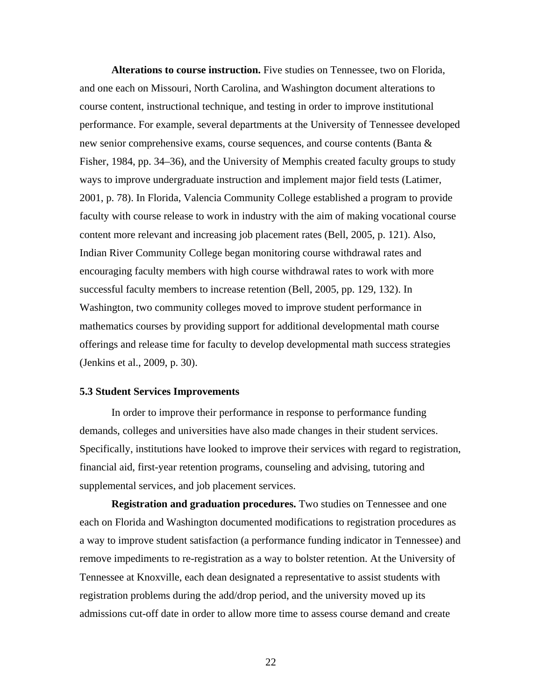**Alterations to course instruction.** Five studies on Tennessee, two on Florida, and one each on Missouri, North Carolina, and Washington document alterations to course content, instructional technique, and testing in order to improve institutional performance. For example, several departments at the University of Tennessee developed new senior comprehensive exams, course sequences, and course contents (Banta & Fisher, 1984, pp. 34–36), and the University of Memphis created faculty groups to study ways to improve undergraduate instruction and implement major field tests (Latimer, 2001, p. 78). In Florida, Valencia Community College established a program to provide faculty with course release to work in industry with the aim of making vocational course content more relevant and increasing job placement rates (Bell, 2005, p. 121). Also, Indian River Community College began monitoring course withdrawal rates and encouraging faculty members with high course withdrawal rates to work with more successful faculty members to increase retention (Bell, 2005, pp. 129, 132). In Washington, two community colleges moved to improve student performance in mathematics courses by providing support for additional developmental math course offerings and release time for faculty to develop developmental math success strategies (Jenkins et al., 2009, p. 30).

#### **5.3 Student Services Improvements**

 In order to improve their performance in response to performance funding demands, colleges and universities have also made changes in their student services. Specifically, institutions have looked to improve their services with regard to registration, financial aid, first-year retention programs, counseling and advising, tutoring and supplemental services, and job placement services.

**Registration and graduation procedures.** Two studies on Tennessee and one each on Florida and Washington documented modifications to registration procedures as a way to improve student satisfaction (a performance funding indicator in Tennessee) and remove impediments to re-registration as a way to bolster retention. At the University of Tennessee at Knoxville, each dean designated a representative to assist students with registration problems during the add/drop period, and the university moved up its admissions cut-off date in order to allow more time to assess course demand and create

<u>22</u>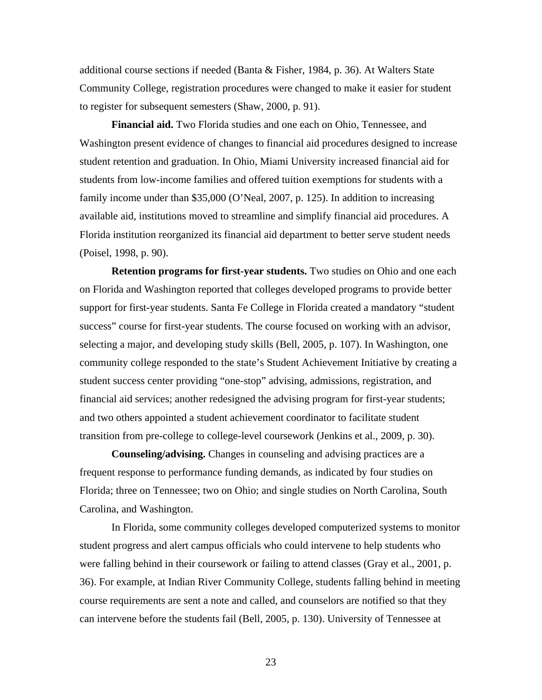additional course sections if needed (Banta & Fisher, 1984, p. 36). At Walters State Community College, registration procedures were changed to make it easier for student to register for subsequent semesters (Shaw, 2000, p. 91).

**Financial aid.** Two Florida studies and one each on Ohio, Tennessee, and Washington present evidence of changes to financial aid procedures designed to increase student retention and graduation. In Ohio, Miami University increased financial aid for students from low-income families and offered tuition exemptions for students with a family income under than \$35,000 (O'Neal, 2007, p. 125). In addition to increasing available aid, institutions moved to streamline and simplify financial aid procedures. A Florida institution reorganized its financial aid department to better serve student needs (Poisel, 1998, p. 90).

**Retention programs for first-year students.** Two studies on Ohio and one each on Florida and Washington reported that colleges developed programs to provide better support for first-year students. Santa Fe College in Florida created a mandatory "student success" course for first-year students. The course focused on working with an advisor, selecting a major, and developing study skills (Bell, 2005, p. 107). In Washington, one community college responded to the state's Student Achievement Initiative by creating a student success center providing "one-stop" advising, admissions, registration, and financial aid services; another redesigned the advising program for first-year students; and two others appointed a student achievement coordinator to facilitate student transition from pre-college to college-level coursework (Jenkins et al., 2009, p. 30).

**Counseling/advising.** Changes in counseling and advising practices are a frequent response to performance funding demands, as indicated by four studies on Florida; three on Tennessee; two on Ohio; and single studies on North Carolina, South Carolina, and Washington.

 In Florida, some community colleges developed computerized systems to monitor student progress and alert campus officials who could intervene to help students who were falling behind in their coursework or failing to attend classes (Gray et al., 2001, p. 36). For example, at Indian River Community College, students falling behind in meeting course requirements are sent a note and called, and counselors are notified so that they can intervene before the students fail (Bell, 2005, p. 130). University of Tennessee at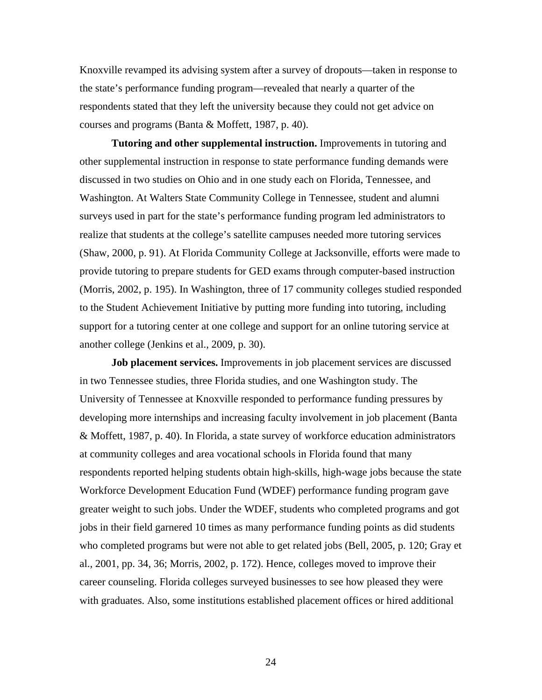Knoxville revamped its advising system after a survey of dropouts—taken in response to the state's performance funding program—revealed that nearly a quarter of the respondents stated that they left the university because they could not get advice on courses and programs (Banta & Moffett, 1987, p. 40).

**Tutoring and other supplemental instruction.** Improvements in tutoring and other supplemental instruction in response to state performance funding demands were discussed in two studies on Ohio and in one study each on Florida, Tennessee, and Washington. At Walters State Community College in Tennessee, student and alumni surveys used in part for the state's performance funding program led administrators to realize that students at the college's satellite campuses needed more tutoring services (Shaw, 2000, p. 91). At Florida Community College at Jacksonville, efforts were made to provide tutoring to prepare students for GED exams through computer-based instruction (Morris, 2002, p. 195). In Washington, three of 17 community colleges studied responded to the Student Achievement Initiative by putting more funding into tutoring, including support for a tutoring center at one college and support for an online tutoring service at another college (Jenkins et al., 2009, p. 30).

**Job placement services.** Improvements in job placement services are discussed in two Tennessee studies, three Florida studies, and one Washington study. The University of Tennessee at Knoxville responded to performance funding pressures by developing more internships and increasing faculty involvement in job placement (Banta & Moffett, 1987, p. 40). In Florida, a state survey of workforce education administrators at community colleges and area vocational schools in Florida found that many respondents reported helping students obtain high-skills, high-wage jobs because the state Workforce Development Education Fund (WDEF) performance funding program gave greater weight to such jobs. Under the WDEF, students who completed programs and got jobs in their field garnered 10 times as many performance funding points as did students who completed programs but were not able to get related jobs (Bell, 2005, p. 120; Gray et al., 2001, pp. 34, 36; Morris, 2002, p. 172). Hence, colleges moved to improve their career counseling. Florida colleges surveyed businesses to see how pleased they were with graduates. Also, some institutions established placement offices or hired additional

24 and 24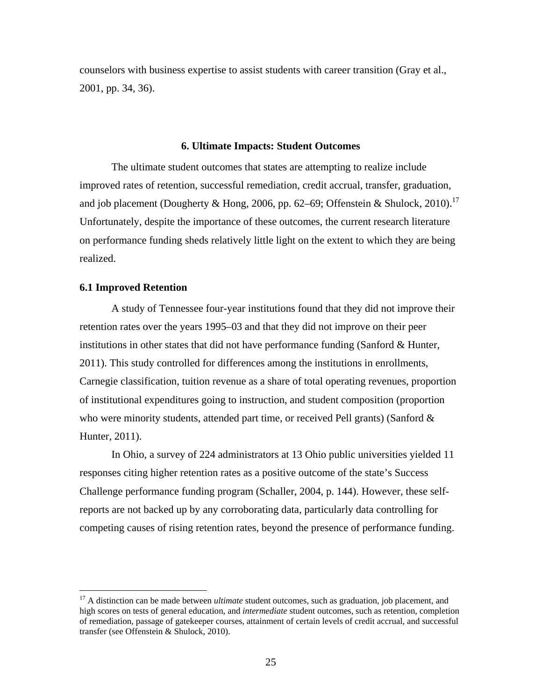counselors with business expertise to assist students with career transition (Gray et al., 2001, pp. 34, 36).

#### **6. Ultimate Impacts: Student Outcomes**

 The ultimate student outcomes that states are attempting to realize include improved rates of retention, successful remediation, credit accrual, transfer, graduation, and job placement (Dougherty & Hong, 2006, pp. 62–69; Offenstein & Shulock, 2010).<sup>17</sup> Unfortunately, despite the importance of these outcomes, the current research literature on performance funding sheds relatively little light on the extent to which they are being realized.

#### **6.1 Improved Retention**

<u>.</u>

 A study of Tennessee four-year institutions found that they did not improve their retention rates over the years 1995–03 and that they did not improve on their peer institutions in other states that did not have performance funding (Sanford & Hunter, 2011). This study controlled for differences among the institutions in enrollments, Carnegie classification, tuition revenue as a share of total operating revenues, proportion of institutional expenditures going to instruction, and student composition (proportion who were minority students, attended part time, or received Pell grants) (Sanford  $\&$ Hunter, 2011).

 In Ohio, a survey of 224 administrators at 13 Ohio public universities yielded 11 responses citing higher retention rates as a positive outcome of the state's Success Challenge performance funding program (Schaller, 2004, p. 144). However, these selfreports are not backed up by any corroborating data, particularly data controlling for competing causes of rising retention rates, beyond the presence of performance funding.

<sup>&</sup>lt;sup>17</sup> A distinction can be made between *ultimate* student outcomes, such as graduation, job placement, and high scores on tests of general education, and *intermediate* student outcomes, such as retention, completion of remediation, passage of gatekeeper courses, attainment of certain levels of credit accrual, and successful transfer (see Offenstein & Shulock, 2010).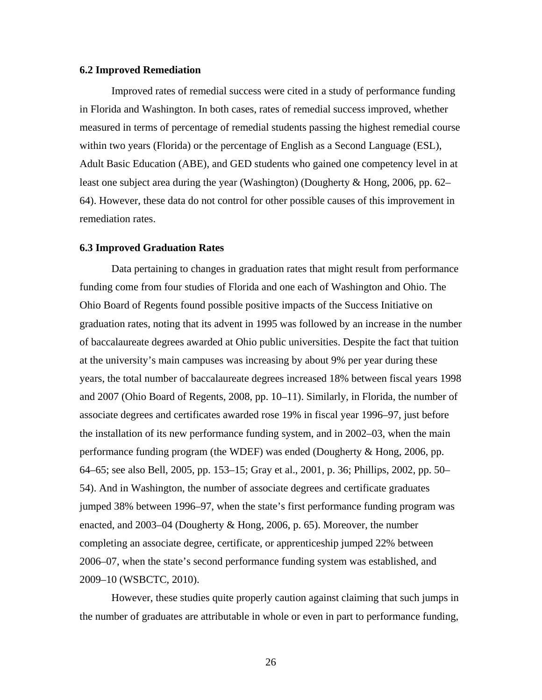## **6.2 Improved Remediation**

 Improved rates of remedial success were cited in a study of performance funding in Florida and Washington. In both cases, rates of remedial success improved, whether measured in terms of percentage of remedial students passing the highest remedial course within two years (Florida) or the percentage of English as a Second Language (ESL), Adult Basic Education (ABE), and GED students who gained one competency level in at least one subject area during the year (Washington) (Dougherty & Hong, 2006, pp. 62– 64). However, these data do not control for other possible causes of this improvement in remediation rates.

#### **6.3 Improved Graduation Rates**

 Data pertaining to changes in graduation rates that might result from performance funding come from four studies of Florida and one each of Washington and Ohio. The Ohio Board of Regents found possible positive impacts of the Success Initiative on graduation rates, noting that its advent in 1995 was followed by an increase in the number of baccalaureate degrees awarded at Ohio public universities. Despite the fact that tuition at the university's main campuses was increasing by about 9% per year during these years, the total number of baccalaureate degrees increased 18% between fiscal years 1998 and 2007 (Ohio Board of Regents, 2008, pp. 10–11). Similarly, in Florida, the number of associate degrees and certificates awarded rose 19% in fiscal year 1996–97, just before the installation of its new performance funding system, and in 2002–03, when the main performance funding program (the WDEF) was ended (Dougherty & Hong, 2006, pp. 64–65; see also Bell, 2005, pp. 153–15; Gray et al., 2001, p. 36; Phillips, 2002, pp. 50– 54). And in Washington, the number of associate degrees and certificate graduates jumped 38% between 1996–97, when the state's first performance funding program was enacted, and 2003–04 (Dougherty & Hong, 2006, p. 65). Moreover, the number completing an associate degree, certificate, or apprenticeship jumped 22% between 2006–07, when the state's second performance funding system was established, and 2009–10 (WSBCTC, 2010).

 However, these studies quite properly caution against claiming that such jumps in the number of graduates are attributable in whole or even in part to performance funding,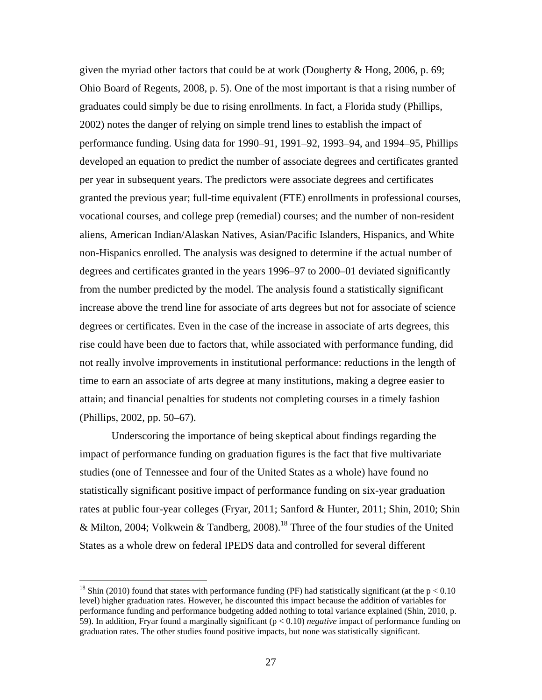given the myriad other factors that could be at work (Dougherty & Hong, 2006, p. 69; Ohio Board of Regents, 2008, p. 5). One of the most important is that a rising number of graduates could simply be due to rising enrollments. In fact, a Florida study (Phillips, 2002) notes the danger of relying on simple trend lines to establish the impact of performance funding. Using data for 1990–91, 1991–92, 1993–94, and 1994–95, Phillips developed an equation to predict the number of associate degrees and certificates granted per year in subsequent years. The predictors were associate degrees and certificates granted the previous year; full-time equivalent (FTE) enrollments in professional courses, vocational courses, and college prep (remedial) courses; and the number of non-resident aliens, American Indian/Alaskan Natives, Asian/Pacific Islanders, Hispanics, and White non-Hispanics enrolled. The analysis was designed to determine if the actual number of degrees and certificates granted in the years 1996–97 to 2000–01 deviated significantly from the number predicted by the model. The analysis found a statistically significant increase above the trend line for associate of arts degrees but not for associate of science degrees or certificates. Even in the case of the increase in associate of arts degrees, this rise could have been due to factors that, while associated with performance funding, did not really involve improvements in institutional performance: reductions in the length of time to earn an associate of arts degree at many institutions, making a degree easier to attain; and financial penalties for students not completing courses in a timely fashion (Phillips, 2002, pp. 50–67).

 Underscoring the importance of being skeptical about findings regarding the impact of performance funding on graduation figures is the fact that five multivariate studies (one of Tennessee and four of the United States as a whole) have found no statistically significant positive impact of performance funding on six-year graduation rates at public four-year colleges (Fryar, 2011; Sanford & Hunter, 2011; Shin, 2010; Shin & Milton, 2004; Volkwein & Tandberg, 2008).<sup>18</sup> Three of the four studies of the United States as a whole drew on federal IPEDS data and controlled for several different

<sup>&</sup>lt;sup>18</sup> Shin (2010) found that states with performance funding (PF) had statistically significant (at the  $p < 0.10$ level) higher graduation rates. However, he discounted this impact because the addition of variables for performance funding and performance budgeting added nothing to total variance explained (Shin, 2010, p. 59). In addition, Fryar found a marginally significant (p < 0.10) *negative* impact of performance funding on graduation rates. The other studies found positive impacts, but none was statistically significant.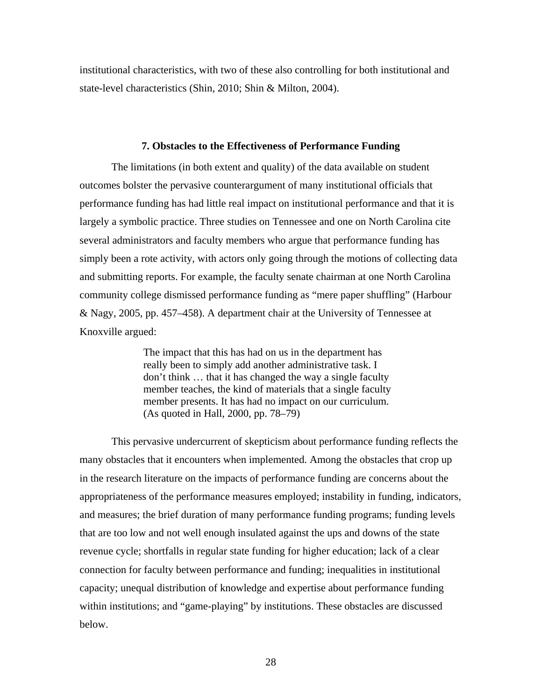institutional characteristics, with two of these also controlling for both institutional and state-level characteristics (Shin, 2010; Shin & Milton, 2004).

#### **7. Obstacles to the Effectiveness of Performance Funding**

 The limitations (in both extent and quality) of the data available on student outcomes bolster the pervasive counterargument of many institutional officials that performance funding has had little real impact on institutional performance and that it is largely a symbolic practice. Three studies on Tennessee and one on North Carolina cite several administrators and faculty members who argue that performance funding has simply been a rote activity, with actors only going through the motions of collecting data and submitting reports. For example, the faculty senate chairman at one North Carolina community college dismissed performance funding as "mere paper shuffling" (Harbour & Nagy, 2005, pp. 457–458). A department chair at the University of Tennessee at Knoxville argued:

> The impact that this has had on us in the department has really been to simply add another administrative task. I don't think … that it has changed the way a single faculty member teaches, the kind of materials that a single faculty member presents. It has had no impact on our curriculum. (As quoted in Hall, 2000, pp. 78–79)

 This pervasive undercurrent of skepticism about performance funding reflects the many obstacles that it encounters when implemented. Among the obstacles that crop up in the research literature on the impacts of performance funding are concerns about the appropriateness of the performance measures employed; instability in funding, indicators, and measures; the brief duration of many performance funding programs; funding levels that are too low and not well enough insulated against the ups and downs of the state revenue cycle; shortfalls in regular state funding for higher education; lack of a clear connection for faculty between performance and funding; inequalities in institutional capacity; unequal distribution of knowledge and expertise about performance funding within institutions; and "game-playing" by institutions. These obstacles are discussed below.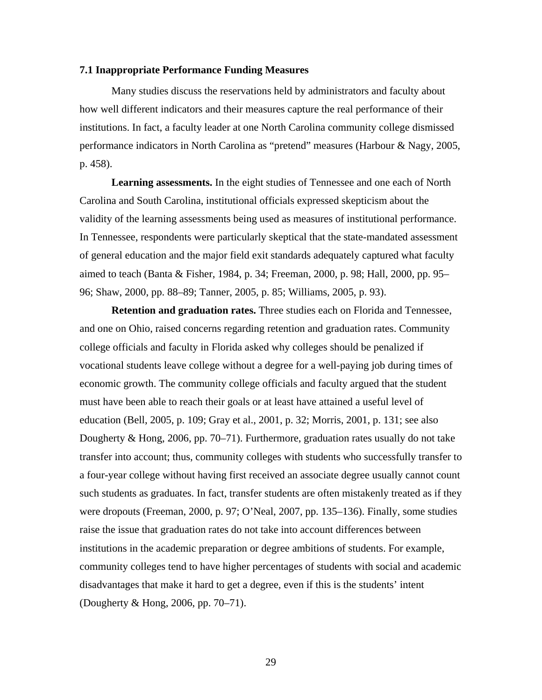#### **7.1 Inappropriate Performance Funding Measures**

 Many studies discuss the reservations held by administrators and faculty about how well different indicators and their measures capture the real performance of their institutions. In fact, a faculty leader at one North Carolina community college dismissed performance indicators in North Carolina as "pretend" measures (Harbour & Nagy, 2005, p. 458).

**Learning assessments.** In the eight studies of Tennessee and one each of North Carolina and South Carolina, institutional officials expressed skepticism about the validity of the learning assessments being used as measures of institutional performance. In Tennessee, respondents were particularly skeptical that the state-mandated assessment of general education and the major field exit standards adequately captured what faculty aimed to teach (Banta & Fisher, 1984, p. 34; Freeman, 2000, p. 98; Hall, 2000, pp. 95– 96; Shaw, 2000, pp. 88–89; Tanner, 2005, p. 85; Williams, 2005, p. 93).

**Retention and graduation rates.** Three studies each on Florida and Tennessee, and one on Ohio, raised concerns regarding retention and graduation rates. Community college officials and faculty in Florida asked why colleges should be penalized if vocational students leave college without a degree for a well-paying job during times of economic growth. The community college officials and faculty argued that the student must have been able to reach their goals or at least have attained a useful level of education (Bell, 2005, p. 109; Gray et al., 2001, p. 32; Morris, 2001, p. 131; see also Dougherty & Hong, 2006, pp. 70–71). Furthermore, graduation rates usually do not take transfer into account; thus, community colleges with students who successfully transfer to a four-year college without having first received an associate degree usually cannot count such students as graduates. In fact, transfer students are often mistakenly treated as if they were dropouts (Freeman, 2000, p. 97; O'Neal, 2007, pp. 135–136). Finally, some studies raise the issue that graduation rates do not take into account differences between institutions in the academic preparation or degree ambitions of students. For example, community colleges tend to have higher percentages of students with social and academic disadvantages that make it hard to get a degree, even if this is the students' intent (Dougherty & Hong, 2006, pp. 70–71).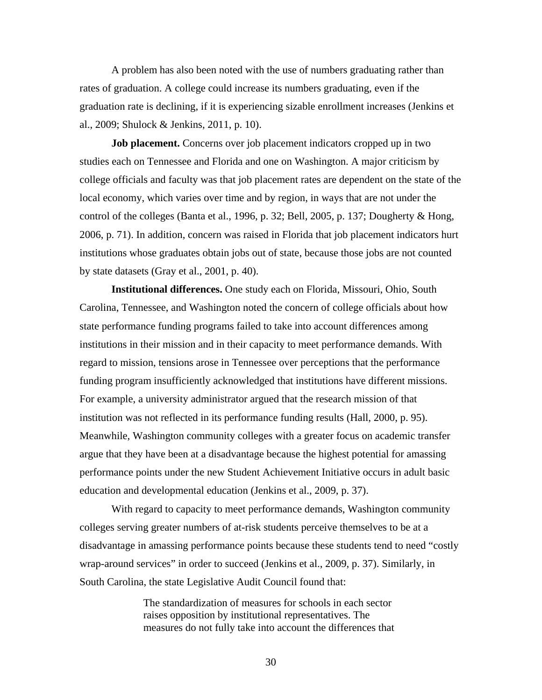A problem has also been noted with the use of numbers graduating rather than rates of graduation. A college could increase its numbers graduating, even if the graduation rate is declining, if it is experiencing sizable enrollment increases (Jenkins et al., 2009; Shulock & Jenkins, 2011, p. 10).

**Job placement.** Concerns over job placement indicators cropped up in two studies each on Tennessee and Florida and one on Washington. A major criticism by college officials and faculty was that job placement rates are dependent on the state of the local economy, which varies over time and by region, in ways that are not under the control of the colleges (Banta et al., 1996, p. 32; Bell, 2005, p. 137; Dougherty & Hong, 2006, p. 71). In addition, concern was raised in Florida that job placement indicators hurt institutions whose graduates obtain jobs out of state, because those jobs are not counted by state datasets (Gray et al., 2001, p. 40).

**Institutional differences.** One study each on Florida, Missouri, Ohio, South Carolina, Tennessee, and Washington noted the concern of college officials about how state performance funding programs failed to take into account differences among institutions in their mission and in their capacity to meet performance demands. With regard to mission, tensions arose in Tennessee over perceptions that the performance funding program insufficiently acknowledged that institutions have different missions. For example, a university administrator argued that the research mission of that institution was not reflected in its performance funding results (Hall, 2000, p. 95). Meanwhile, Washington community colleges with a greater focus on academic transfer argue that they have been at a disadvantage because the highest potential for amassing performance points under the new Student Achievement Initiative occurs in adult basic education and developmental education (Jenkins et al., 2009, p. 37).

 With regard to capacity to meet performance demands, Washington community colleges serving greater numbers of at-risk students perceive themselves to be at a disadvantage in amassing performance points because these students tend to need "costly wrap-around services" in order to succeed (Jenkins et al., 2009, p. 37). Similarly, in South Carolina, the state Legislative Audit Council found that:

> The standardization of measures for schools in each sector raises opposition by institutional representatives. The measures do not fully take into account the differences that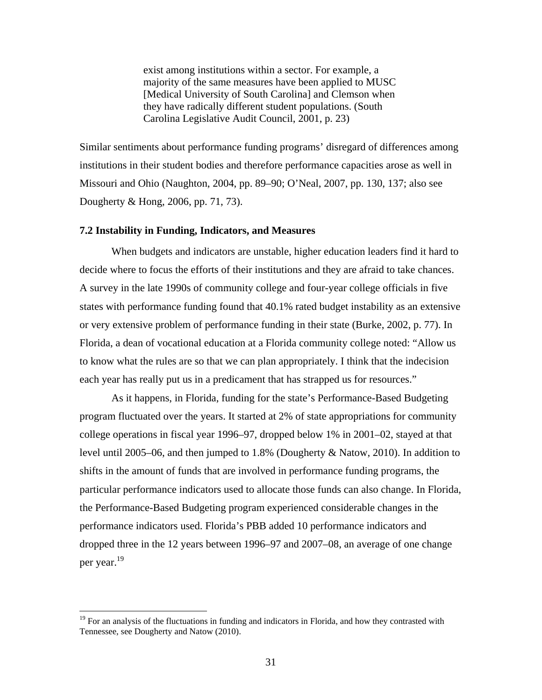exist among institutions within a sector. For example, a majority of the same measures have been applied to MUSC [Medical University of South Carolina] and Clemson when they have radically different student populations. (South Carolina Legislative Audit Council, 2001, p. 23)

Similar sentiments about performance funding programs' disregard of differences among institutions in their student bodies and therefore performance capacities arose as well in Missouri and Ohio (Naughton, 2004, pp. 89–90; O'Neal, 2007, pp. 130, 137; also see Dougherty & Hong, 2006, pp. 71, 73).

#### **7.2 Instability in Funding, Indicators, and Measures**

When budgets and indicators are unstable, higher education leaders find it hard to decide where to focus the efforts of their institutions and they are afraid to take chances. A survey in the late 1990s of community college and four-year college officials in five states with performance funding found that 40.1% rated budget instability as an extensive or very extensive problem of performance funding in their state (Burke, 2002, p. 77). In Florida, a dean of vocational education at a Florida community college noted: "Allow us to know what the rules are so that we can plan appropriately. I think that the indecision each year has really put us in a predicament that has strapped us for resources."

As it happens, in Florida, funding for the state's Performance-Based Budgeting program fluctuated over the years. It started at 2% of state appropriations for community college operations in fiscal year 1996–97, dropped below 1% in 2001–02, stayed at that level until 2005–06, and then jumped to 1.8% (Dougherty & Natow, 2010). In addition to shifts in the amount of funds that are involved in performance funding programs, the particular performance indicators used to allocate those funds can also change. In Florida, the Performance-Based Budgeting program experienced considerable changes in the performance indicators used. Florida's PBB added 10 performance indicators and dropped three in the 12 years between 1996–97 and 2007–08, an average of one change per year.19

<sup>&</sup>lt;sup>19</sup> For an analysis of the fluctuations in funding and indicators in Florida, and how they contrasted with Tennessee, see Dougherty and Natow (2010).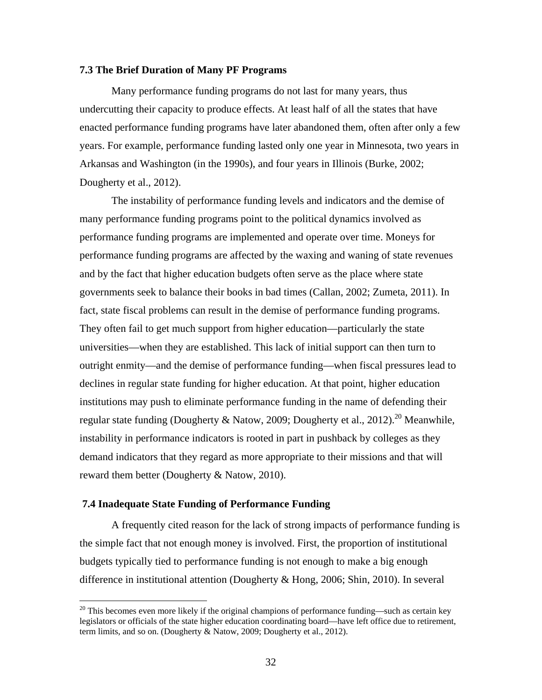## **7.3 The Brief Duration of Many PF Programs**

 Many performance funding programs do not last for many years, thus undercutting their capacity to produce effects. At least half of all the states that have enacted performance funding programs have later abandoned them, often after only a few years. For example, performance funding lasted only one year in Minnesota, two years in Arkansas and Washington (in the 1990s), and four years in Illinois (Burke, 2002; Dougherty et al., 2012).

 The instability of performance funding levels and indicators and the demise of many performance funding programs point to the political dynamics involved as performance funding programs are implemented and operate over time. Moneys for performance funding programs are affected by the waxing and waning of state revenues and by the fact that higher education budgets often serve as the place where state governments seek to balance their books in bad times (Callan, 2002; Zumeta, 2011). In fact, state fiscal problems can result in the demise of performance funding programs. They often fail to get much support from higher education—particularly the state universities—when they are established. This lack of initial support can then turn to outright enmity—and the demise of performance funding—when fiscal pressures lead to declines in regular state funding for higher education. At that point, higher education institutions may push to eliminate performance funding in the name of defending their regular state funding (Dougherty & Natow, 2009; Dougherty et al., 2012).<sup>20</sup> Meanwhile, instability in performance indicators is rooted in part in pushback by colleges as they demand indicators that they regard as more appropriate to their missions and that will reward them better (Dougherty & Natow, 2010).

#### **7.4 Inadequate State Funding of Performance Funding**

 $\overline{a}$ 

 A frequently cited reason for the lack of strong impacts of performance funding is the simple fact that not enough money is involved. First, the proportion of institutional budgets typically tied to performance funding is not enough to make a big enough difference in institutional attention (Dougherty & Hong, 2006; Shin, 2010). In several

 $20$  This becomes even more likely if the original champions of performance funding—such as certain key legislators or officials of the state higher education coordinating board—have left office due to retirement, term limits, and so on. (Dougherty & Natow, 2009; Dougherty et al., 2012).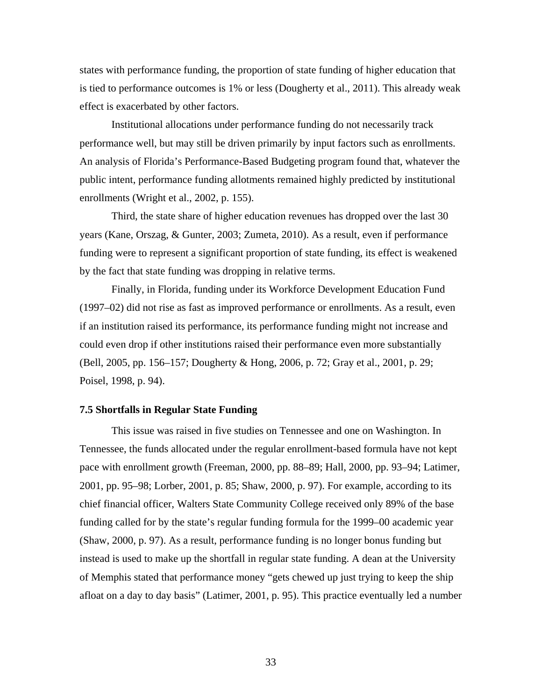states with performance funding, the proportion of state funding of higher education that is tied to performance outcomes is 1% or less (Dougherty et al., 2011). This already weak effect is exacerbated by other factors.

 Institutional allocations under performance funding do not necessarily track performance well, but may still be driven primarily by input factors such as enrollments. An analysis of Florida's Performance-Based Budgeting program found that, whatever the public intent, performance funding allotments remained highly predicted by institutional enrollments (Wright et al., 2002, p. 155).

 Third, the state share of higher education revenues has dropped over the last 30 years (Kane, Orszag, & Gunter, 2003; Zumeta, 2010). As a result, even if performance funding were to represent a significant proportion of state funding, its effect is weakened by the fact that state funding was dropping in relative terms.

 Finally, in Florida, funding under its Workforce Development Education Fund (1997–02) did not rise as fast as improved performance or enrollments. As a result, even if an institution raised its performance, its performance funding might not increase and could even drop if other institutions raised their performance even more substantially (Bell, 2005, pp. 156–157; Dougherty & Hong, 2006, p. 72; Gray et al., 2001, p. 29; Poisel, 1998, p. 94).

#### **7.5 Shortfalls in Regular State Funding**

This issue was raised in five studies on Tennessee and one on Washington. In Tennessee, the funds allocated under the regular enrollment-based formula have not kept pace with enrollment growth (Freeman, 2000, pp. 88–89; Hall, 2000, pp. 93–94; Latimer, 2001, pp. 95–98; Lorber, 2001, p. 85; Shaw, 2000, p. 97). For example, according to its chief financial officer, Walters State Community College received only 89% of the base funding called for by the state's regular funding formula for the 1999–00 academic year (Shaw, 2000, p. 97). As a result, performance funding is no longer bonus funding but instead is used to make up the shortfall in regular state funding. A dean at the University of Memphis stated that performance money "gets chewed up just trying to keep the ship afloat on a day to day basis" (Latimer, 2001, p. 95). This practice eventually led a number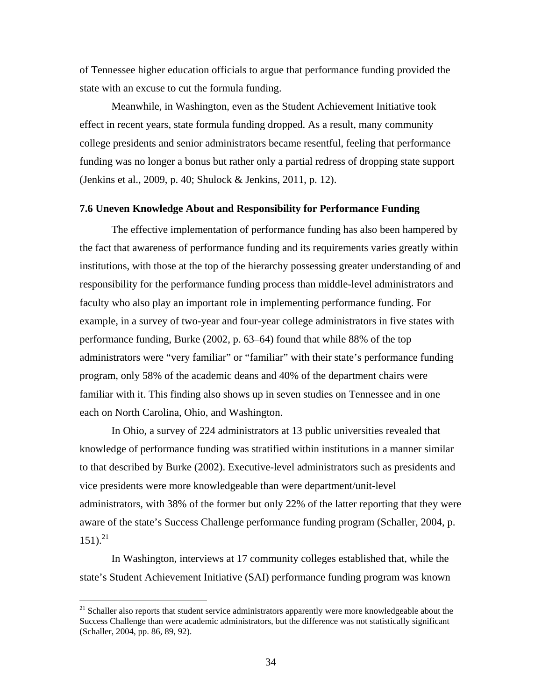of Tennessee higher education officials to argue that performance funding provided the state with an excuse to cut the formula funding.

 Meanwhile, in Washington, even as the Student Achievement Initiative took effect in recent years, state formula funding dropped. As a result, many community college presidents and senior administrators became resentful, feeling that performance funding was no longer a bonus but rather only a partial redress of dropping state support (Jenkins et al., 2009, p. 40; Shulock & Jenkins, 2011, p. 12).

#### **7.6 Uneven Knowledge About and Responsibility for Performance Funding**

 The effective implementation of performance funding has also been hampered by the fact that awareness of performance funding and its requirements varies greatly within institutions, with those at the top of the hierarchy possessing greater understanding of and responsibility for the performance funding process than middle-level administrators and faculty who also play an important role in implementing performance funding. For example, in a survey of two-year and four-year college administrators in five states with performance funding, Burke (2002, p. 63–64) found that while 88% of the top administrators were "very familiar" or "familiar" with their state's performance funding program, only 58% of the academic deans and 40% of the department chairs were familiar with it. This finding also shows up in seven studies on Tennessee and in one each on North Carolina, Ohio, and Washington.

 In Ohio, a survey of 224 administrators at 13 public universities revealed that knowledge of performance funding was stratified within institutions in a manner similar to that described by Burke (2002). Executive-level administrators such as presidents and vice presidents were more knowledgeable than were department/unit-level administrators, with 38% of the former but only 22% of the latter reporting that they were aware of the state's Success Challenge performance funding program (Schaller, 2004, p.  $151$ ).<sup>21</sup>

 In Washington, interviews at 17 community colleges established that, while the state's Student Achievement Initiative (SAI) performance funding program was known

<sup>&</sup>lt;sup>21</sup> Schaller also reports that student service administrators apparently were more knowledgeable about the Success Challenge than were academic administrators, but the difference was not statistically significant (Schaller, 2004, pp. 86, 89, 92).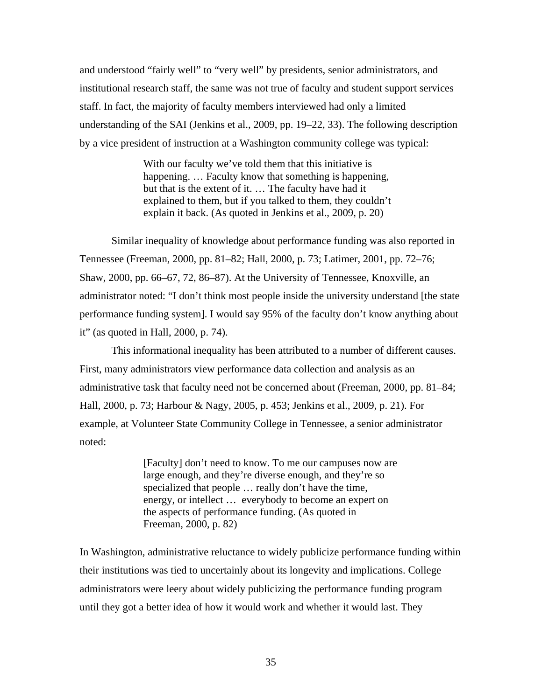and understood "fairly well" to "very well" by presidents, senior administrators, and institutional research staff, the same was not true of faculty and student support services staff. In fact, the majority of faculty members interviewed had only a limited understanding of the SAI (Jenkins et al., 2009, pp. 19–22, 33). The following description by a vice president of instruction at a Washington community college was typical:

> With our faculty we've told them that this initiative is happening. ... Faculty know that something is happening, but that is the extent of it. … The faculty have had it explained to them, but if you talked to them, they couldn't explain it back. (As quoted in Jenkins et al., 2009, p. 20)

 Similar inequality of knowledge about performance funding was also reported in Tennessee (Freeman, 2000, pp. 81–82; Hall, 2000, p. 73; Latimer, 2001, pp. 72–76; Shaw, 2000, pp. 66–67, 72, 86–87). At the University of Tennessee, Knoxville, an administrator noted: "I don't think most people inside the university understand [the state performance funding system]. I would say 95% of the faculty don't know anything about it" (as quoted in Hall, 2000, p. 74).

 This informational inequality has been attributed to a number of different causes. First, many administrators view performance data collection and analysis as an administrative task that faculty need not be concerned about (Freeman, 2000, pp. 81–84; Hall, 2000, p. 73; Harbour & Nagy, 2005, p. 453; Jenkins et al., 2009, p. 21). For example, at Volunteer State Community College in Tennessee, a senior administrator noted:

> [Faculty] don't need to know. To me our campuses now are large enough, and they're diverse enough, and they're so specialized that people … really don't have the time, energy, or intellect … everybody to become an expert on the aspects of performance funding. (As quoted in Freeman, 2000, p. 82)

In Washington, administrative reluctance to widely publicize performance funding within their institutions was tied to uncertainly about its longevity and implications. College administrators were leery about widely publicizing the performance funding program until they got a better idea of how it would work and whether it would last. They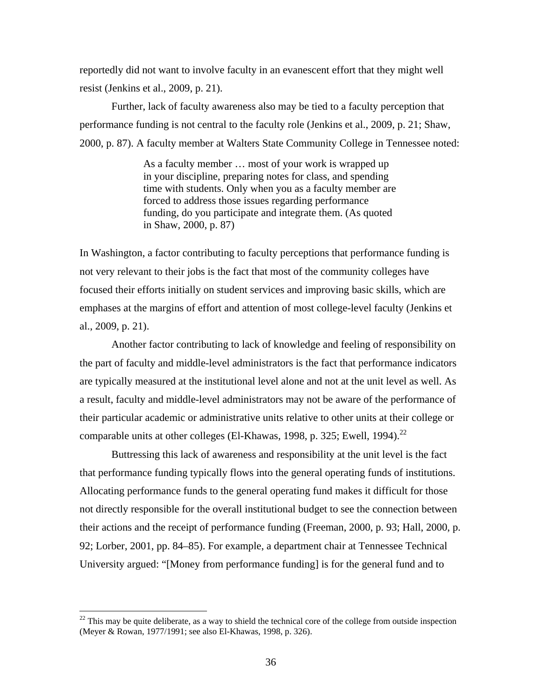reportedly did not want to involve faculty in an evanescent effort that they might well resist (Jenkins et al., 2009, p. 21).

 Further, lack of faculty awareness also may be tied to a faculty perception that performance funding is not central to the faculty role (Jenkins et al., 2009, p. 21; Shaw, 2000, p. 87). A faculty member at Walters State Community College in Tennessee noted:

> As a faculty member … most of your work is wrapped up in your discipline, preparing notes for class, and spending time with students. Only when you as a faculty member are forced to address those issues regarding performance funding, do you participate and integrate them. (As quoted in Shaw, 2000, p. 87)

In Washington, a factor contributing to faculty perceptions that performance funding is not very relevant to their jobs is the fact that most of the community colleges have focused their efforts initially on student services and improving basic skills, which are emphases at the margins of effort and attention of most college-level faculty (Jenkins et al., 2009, p. 21).

 Another factor contributing to lack of knowledge and feeling of responsibility on the part of faculty and middle-level administrators is the fact that performance indicators are typically measured at the institutional level alone and not at the unit level as well. As a result, faculty and middle-level administrators may not be aware of the performance of their particular academic or administrative units relative to other units at their college or comparable units at other colleges (El-Khawas, 1998, p. 325; Ewell, 1994).<sup>22</sup>

 Buttressing this lack of awareness and responsibility at the unit level is the fact that performance funding typically flows into the general operating funds of institutions. Allocating performance funds to the general operating fund makes it difficult for those not directly responsible for the overall institutional budget to see the connection between their actions and the receipt of performance funding (Freeman, 2000, p. 93; Hall, 2000, p. 92; Lorber, 2001, pp. 84–85). For example, a department chair at Tennessee Technical University argued: "[Money from performance funding] is for the general fund and to

 $^{22}$  This may be quite deliberate, as a way to shield the technical core of the college from outside inspection (Meyer & Rowan, 1977/1991; see also El-Khawas, 1998, p. 326).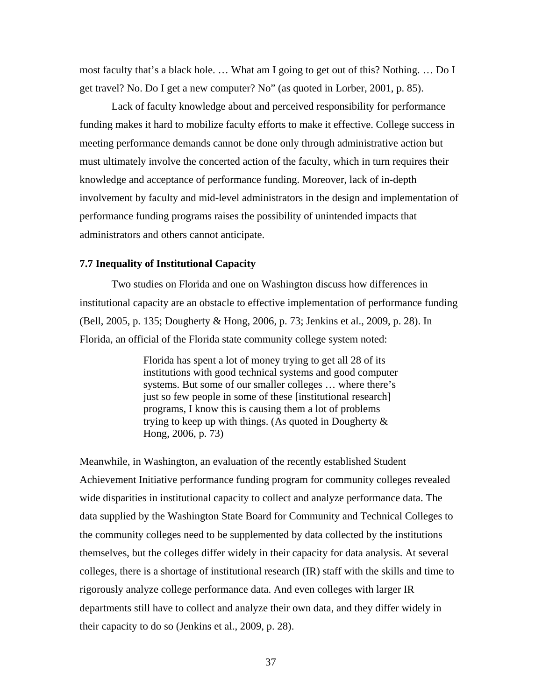most faculty that's a black hole. … What am I going to get out of this? Nothing. … Do I get travel? No. Do I get a new computer? No" (as quoted in Lorber, 2001, p. 85).

 Lack of faculty knowledge about and perceived responsibility for performance funding makes it hard to mobilize faculty efforts to make it effective. College success in meeting performance demands cannot be done only through administrative action but must ultimately involve the concerted action of the faculty, which in turn requires their knowledge and acceptance of performance funding. Moreover, lack of in-depth involvement by faculty and mid-level administrators in the design and implementation of performance funding programs raises the possibility of unintended impacts that administrators and others cannot anticipate.

## **7.7 Inequality of Institutional Capacity**

 Two studies on Florida and one on Washington discuss how differences in institutional capacity are an obstacle to effective implementation of performance funding (Bell, 2005, p. 135; Dougherty & Hong, 2006, p. 73; Jenkins et al., 2009, p. 28). In Florida, an official of the Florida state community college system noted:

> Florida has spent a lot of money trying to get all 28 of its institutions with good technical systems and good computer systems. But some of our smaller colleges … where there's just so few people in some of these [institutional research] programs, I know this is causing them a lot of problems trying to keep up with things. (As quoted in Dougherty & Hong, 2006, p. 73)

Meanwhile, in Washington, an evaluation of the recently established Student Achievement Initiative performance funding program for community colleges revealed wide disparities in institutional capacity to collect and analyze performance data. The data supplied by the Washington State Board for Community and Technical Colleges to the community colleges need to be supplemented by data collected by the institutions themselves, but the colleges differ widely in their capacity for data analysis. At several colleges, there is a shortage of institutional research (IR) staff with the skills and time to rigorously analyze college performance data. And even colleges with larger IR departments still have to collect and analyze their own data, and they differ widely in their capacity to do so (Jenkins et al., 2009, p. 28).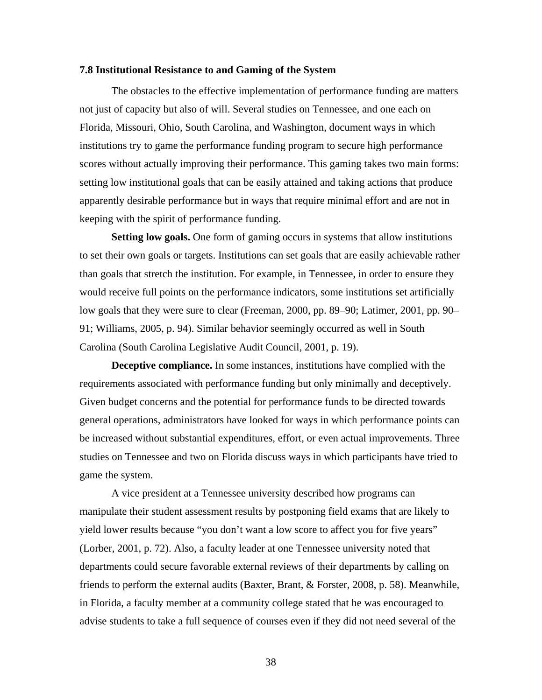## **7.8 Institutional Resistance to and Gaming of the System**

 The obstacles to the effective implementation of performance funding are matters not just of capacity but also of will. Several studies on Tennessee, and one each on Florida, Missouri, Ohio, South Carolina, and Washington, document ways in which institutions try to game the performance funding program to secure high performance scores without actually improving their performance. This gaming takes two main forms: setting low institutional goals that can be easily attained and taking actions that produce apparently desirable performance but in ways that require minimal effort and are not in keeping with the spirit of performance funding.

**Setting low goals.** One form of gaming occurs in systems that allow institutions to set their own goals or targets. Institutions can set goals that are easily achievable rather than goals that stretch the institution. For example, in Tennessee, in order to ensure they would receive full points on the performance indicators, some institutions set artificially low goals that they were sure to clear (Freeman, 2000, pp. 89–90; Latimer, 2001, pp. 90– 91; Williams, 2005, p. 94). Similar behavior seemingly occurred as well in South Carolina (South Carolina Legislative Audit Council, 2001, p. 19).

**Deceptive compliance.** In some instances, institutions have complied with the requirements associated with performance funding but only minimally and deceptively. Given budget concerns and the potential for performance funds to be directed towards general operations, administrators have looked for ways in which performance points can be increased without substantial expenditures, effort, or even actual improvements. Three studies on Tennessee and two on Florida discuss ways in which participants have tried to game the system.

 A vice president at a Tennessee university described how programs can manipulate their student assessment results by postponing field exams that are likely to yield lower results because "you don't want a low score to affect you for five years" (Lorber, 2001, p. 72). Also, a faculty leader at one Tennessee university noted that departments could secure favorable external reviews of their departments by calling on friends to perform the external audits (Baxter, Brant, & Forster, 2008, p. 58). Meanwhile, in Florida, a faculty member at a community college stated that he was encouraged to advise students to take a full sequence of courses even if they did not need several of the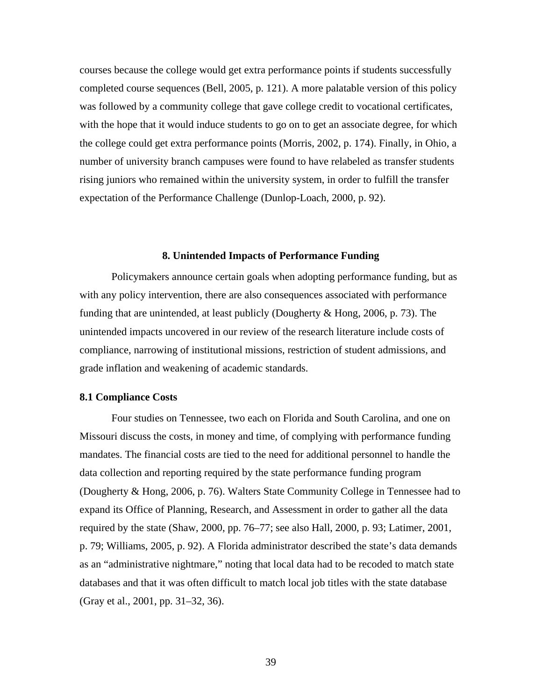courses because the college would get extra performance points if students successfully completed course sequences (Bell, 2005, p. 121). A more palatable version of this policy was followed by a community college that gave college credit to vocational certificates, with the hope that it would induce students to go on to get an associate degree, for which the college could get extra performance points (Morris, 2002, p. 174). Finally, in Ohio, a number of university branch campuses were found to have relabeled as transfer students rising juniors who remained within the university system, in order to fulfill the transfer expectation of the Performance Challenge (Dunlop-Loach, 2000, p. 92).

#### **8. Unintended Impacts of Performance Funding**

 Policymakers announce certain goals when adopting performance funding, but as with any policy intervention, there are also consequences associated with performance funding that are unintended, at least publicly (Dougherty & Hong, 2006, p. 73). The unintended impacts uncovered in our review of the research literature include costs of compliance, narrowing of institutional missions, restriction of student admissions, and grade inflation and weakening of academic standards.

#### **8.1 Compliance Costs**

 Four studies on Tennessee, two each on Florida and South Carolina, and one on Missouri discuss the costs, in money and time, of complying with performance funding mandates. The financial costs are tied to the need for additional personnel to handle the data collection and reporting required by the state performance funding program (Dougherty & Hong, 2006, p. 76). Walters State Community College in Tennessee had to expand its Office of Planning, Research, and Assessment in order to gather all the data required by the state (Shaw, 2000, pp. 76–77; see also Hall, 2000, p. 93; Latimer, 2001, p. 79; Williams, 2005, p. 92). A Florida administrator described the state's data demands as an "administrative nightmare," noting that local data had to be recoded to match state databases and that it was often difficult to match local job titles with the state database (Gray et al., 2001, pp. 31–32, 36).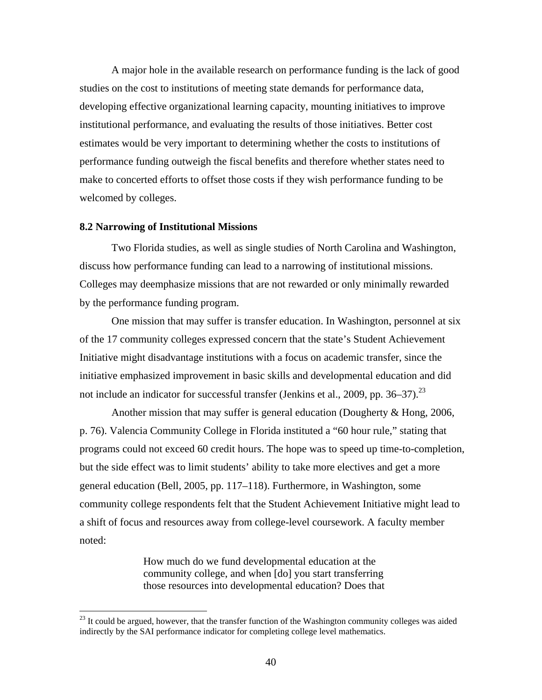A major hole in the available research on performance funding is the lack of good studies on the cost to institutions of meeting state demands for performance data, developing effective organizational learning capacity, mounting initiatives to improve institutional performance, and evaluating the results of those initiatives. Better cost estimates would be very important to determining whether the costs to institutions of performance funding outweigh the fiscal benefits and therefore whether states need to make to concerted efforts to offset those costs if they wish performance funding to be welcomed by colleges.

#### **8.2 Narrowing of Institutional Missions**

 $\overline{a}$ 

 Two Florida studies, as well as single studies of North Carolina and Washington, discuss how performance funding can lead to a narrowing of institutional missions. Colleges may deemphasize missions that are not rewarded or only minimally rewarded by the performance funding program.

 One mission that may suffer is transfer education. In Washington, personnel at six of the 17 community colleges expressed concern that the state's Student Achievement Initiative might disadvantage institutions with a focus on academic transfer, since the initiative emphasized improvement in basic skills and developmental education and did not include an indicator for successful transfer (Jenkins et al., 2009, pp.  $36-37$ ).<sup>23</sup>

 Another mission that may suffer is general education (Dougherty & Hong, 2006, p. 76). Valencia Community College in Florida instituted a "60 hour rule," stating that programs could not exceed 60 credit hours. The hope was to speed up time-to-completion, but the side effect was to limit students' ability to take more electives and get a more general education (Bell, 2005, pp. 117–118). Furthermore, in Washington, some community college respondents felt that the Student Achievement Initiative might lead to a shift of focus and resources away from college-level coursework. A faculty member noted:

> How much do we fund developmental education at the community college, and when [do] you start transferring those resources into developmental education? Does that

 $23$  It could be argued, however, that the transfer function of the Washington community colleges was aided indirectly by the SAI performance indicator for completing college level mathematics.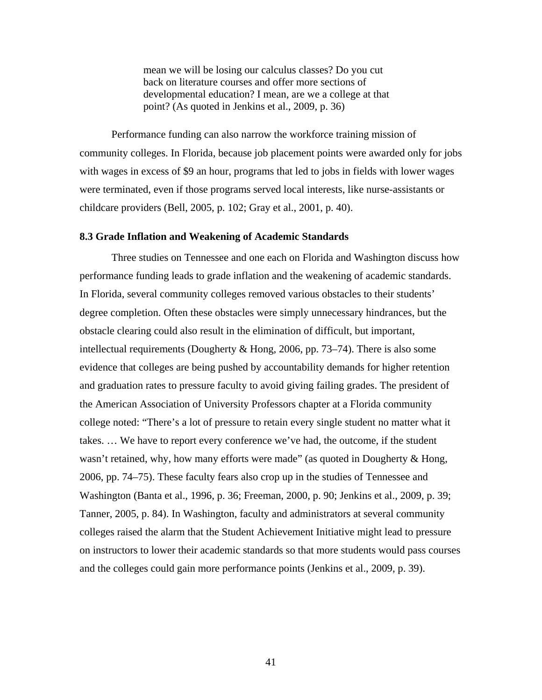mean we will be losing our calculus classes? Do you cut back on literature courses and offer more sections of developmental education? I mean, are we a college at that point? (As quoted in Jenkins et al., 2009, p. 36)

 Performance funding can also narrow the workforce training mission of community colleges. In Florida, because job placement points were awarded only for jobs with wages in excess of \$9 an hour, programs that led to jobs in fields with lower wages were terminated, even if those programs served local interests, like nurse-assistants or childcare providers (Bell, 2005, p. 102; Gray et al., 2001, p. 40).

#### **8.3 Grade Inflation and Weakening of Academic Standards**

 Three studies on Tennessee and one each on Florida and Washington discuss how performance funding leads to grade inflation and the weakening of academic standards. In Florida, several community colleges removed various obstacles to their students' degree completion. Often these obstacles were simply unnecessary hindrances, but the obstacle clearing could also result in the elimination of difficult, but important, intellectual requirements (Dougherty & Hong, 2006, pp. 73–74). There is also some evidence that colleges are being pushed by accountability demands for higher retention and graduation rates to pressure faculty to avoid giving failing grades. The president of the American Association of University Professors chapter at a Florida community college noted: "There's a lot of pressure to retain every single student no matter what it takes. … We have to report every conference we've had, the outcome, if the student wasn't retained, why, how many efforts were made" (as quoted in Dougherty & Hong, 2006, pp. 74–75). These faculty fears also crop up in the studies of Tennessee and Washington (Banta et al., 1996, p. 36; Freeman, 2000, p. 90; Jenkins et al., 2009, p. 39; Tanner, 2005, p. 84). In Washington, faculty and administrators at several community colleges raised the alarm that the Student Achievement Initiative might lead to pressure on instructors to lower their academic standards so that more students would pass courses and the colleges could gain more performance points (Jenkins et al., 2009, p. 39).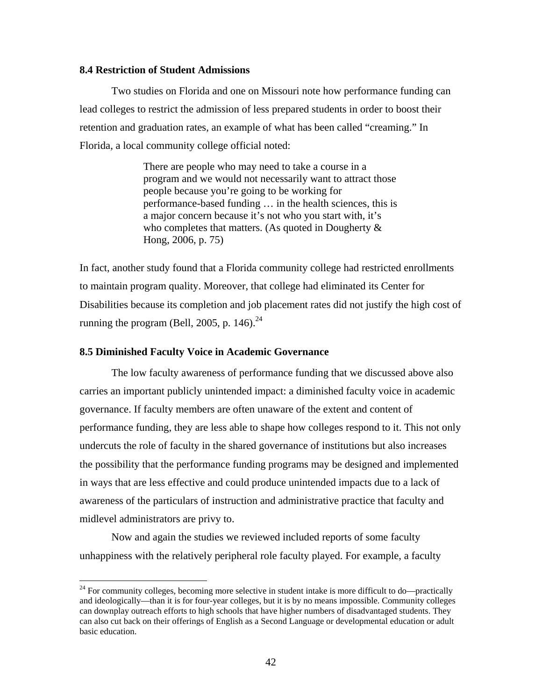## **8.4 Restriction of Student Admissions**

 Two studies on Florida and one on Missouri note how performance funding can lead colleges to restrict the admission of less prepared students in order to boost their retention and graduation rates, an example of what has been called "creaming." In Florida, a local community college official noted:

> There are people who may need to take a course in a program and we would not necessarily want to attract those people because you're going to be working for performance-based funding … in the health sciences, this is a major concern because it's not who you start with, it's who completes that matters. (As quoted in Dougherty & Hong, 2006, p. 75)

In fact, another study found that a Florida community college had restricted enrollments to maintain program quality. Moreover, that college had eliminated its Center for Disabilities because its completion and job placement rates did not justify the high cost of running the program (Bell, 2005, p. 146). $^{24}$ 

#### **8.5 Diminished Faculty Voice in Academic Governance**

 $\overline{a}$ 

 The low faculty awareness of performance funding that we discussed above also carries an important publicly unintended impact: a diminished faculty voice in academic governance. If faculty members are often unaware of the extent and content of performance funding, they are less able to shape how colleges respond to it. This not only undercuts the role of faculty in the shared governance of institutions but also increases the possibility that the performance funding programs may be designed and implemented in ways that are less effective and could produce unintended impacts due to a lack of awareness of the particulars of instruction and administrative practice that faculty and midlevel administrators are privy to.

 Now and again the studies we reviewed included reports of some faculty unhappiness with the relatively peripheral role faculty played. For example, a faculty

 $24$  For community colleges, becoming more selective in student intake is more difficult to do—practically and ideologically—than it is for four-year colleges, but it is by no means impossible. Community colleges can downplay outreach efforts to high schools that have higher numbers of disadvantaged students. They can also cut back on their offerings of English as a Second Language or developmental education or adult basic education.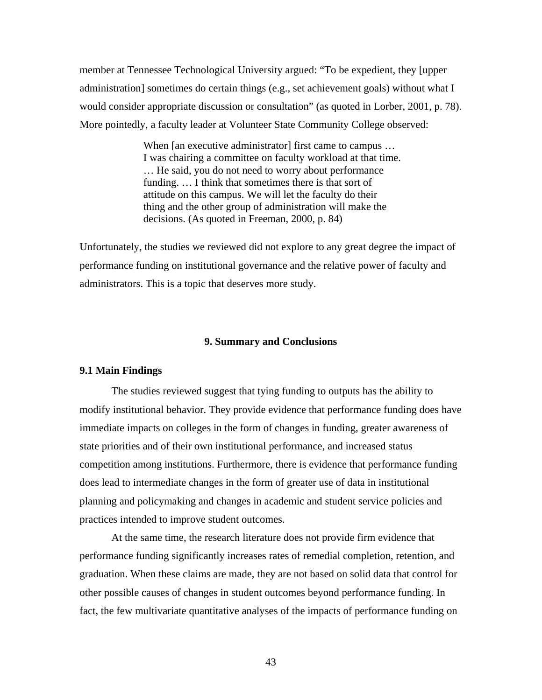member at Tennessee Technological University argued: "To be expedient, they [upper administration] sometimes do certain things (e.g., set achievement goals) without what I would consider appropriate discussion or consultation" (as quoted in Lorber, 2001, p. 78). More pointedly, a faculty leader at Volunteer State Community College observed:

> When [an executive administrator] first came to campus ... I was chairing a committee on faculty workload at that time. … He said, you do not need to worry about performance funding. … I think that sometimes there is that sort of attitude on this campus. We will let the faculty do their thing and the other group of administration will make the decisions. (As quoted in Freeman, 2000, p. 84)

Unfortunately, the studies we reviewed did not explore to any great degree the impact of performance funding on institutional governance and the relative power of faculty and administrators. This is a topic that deserves more study.

#### **9. Summary and Conclusions**

## **9.1 Main Findings**

 The studies reviewed suggest that tying funding to outputs has the ability to modify institutional behavior. They provide evidence that performance funding does have immediate impacts on colleges in the form of changes in funding, greater awareness of state priorities and of their own institutional performance, and increased status competition among institutions. Furthermore, there is evidence that performance funding does lead to intermediate changes in the form of greater use of data in institutional planning and policymaking and changes in academic and student service policies and practices intended to improve student outcomes.

 At the same time, the research literature does not provide firm evidence that performance funding significantly increases rates of remedial completion, retention, and graduation. When these claims are made, they are not based on solid data that control for other possible causes of changes in student outcomes beyond performance funding. In fact, the few multivariate quantitative analyses of the impacts of performance funding on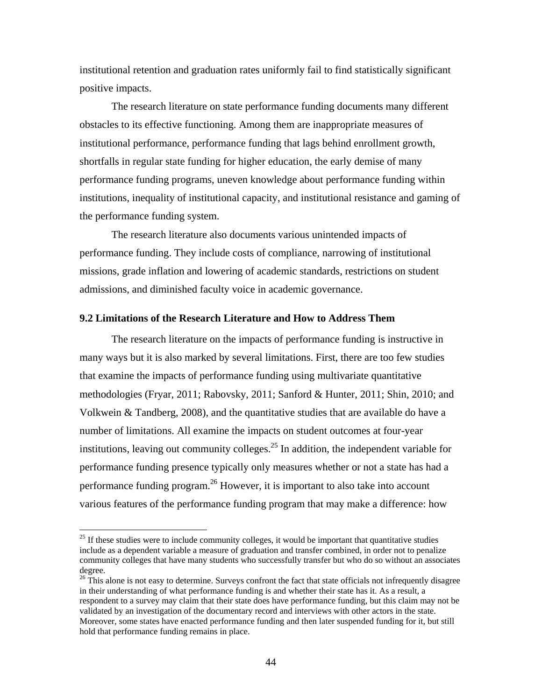institutional retention and graduation rates uniformly fail to find statistically significant positive impacts.

 The research literature on state performance funding documents many different obstacles to its effective functioning. Among them are inappropriate measures of institutional performance, performance funding that lags behind enrollment growth, shortfalls in regular state funding for higher education, the early demise of many performance funding programs, uneven knowledge about performance funding within institutions, inequality of institutional capacity, and institutional resistance and gaming of the performance funding system.

 The research literature also documents various unintended impacts of performance funding. They include costs of compliance, narrowing of institutional missions, grade inflation and lowering of academic standards, restrictions on student admissions, and diminished faculty voice in academic governance.

#### **9.2 Limitations of the Research Literature and How to Address Them**

 The research literature on the impacts of performance funding is instructive in many ways but it is also marked by several limitations. First, there are too few studies that examine the impacts of performance funding using multivariate quantitative methodologies (Fryar, 2011; Rabovsky, 2011; Sanford & Hunter, 2011; Shin, 2010; and Volkwein & Tandberg, 2008), and the quantitative studies that are available do have a number of limitations. All examine the impacts on student outcomes at four-year institutions, leaving out community colleges.<sup>25</sup> In addition, the independent variable for performance funding presence typically only measures whether or not a state has had a performance funding program.<sup>26</sup> However, it is important to also take into account various features of the performance funding program that may make a difference: how

 $25$  If these studies were to include community colleges, it would be important that quantitative studies include as a dependent variable a measure of graduation and transfer combined, in order not to penalize community colleges that have many students who successfully transfer but who do so without an associates degree.

<sup>&</sup>lt;sup>26</sup> This alone is not easy to determine. Surveys confront the fact that state officials not infrequently disagree in their understanding of what performance funding is and whether their state has it. As a result, a respondent to a survey may claim that their state does have performance funding, but this claim may not be validated by an investigation of the documentary record and interviews with other actors in the state. Moreover, some states have enacted performance funding and then later suspended funding for it, but still hold that performance funding remains in place.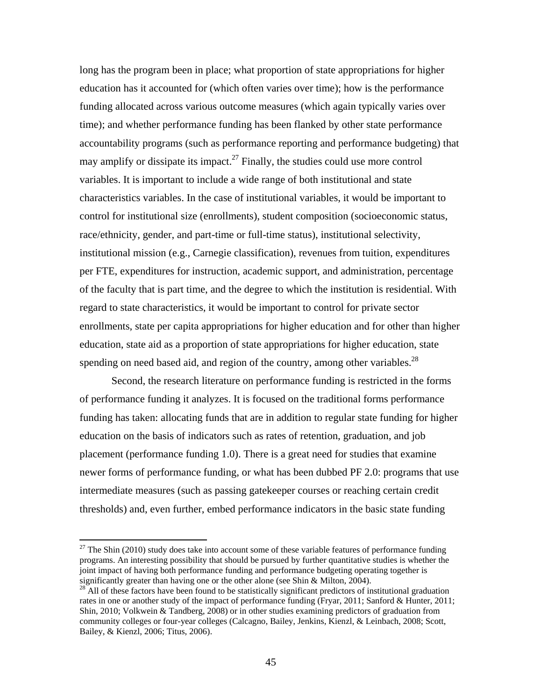long has the program been in place; what proportion of state appropriations for higher education has it accounted for (which often varies over time); how is the performance funding allocated across various outcome measures (which again typically varies over time); and whether performance funding has been flanked by other state performance accountability programs (such as performance reporting and performance budgeting) that may amplify or dissipate its impact.<sup>27</sup> Finally, the studies could use more control variables. It is important to include a wide range of both institutional and state characteristics variables. In the case of institutional variables, it would be important to control for institutional size (enrollments), student composition (socioeconomic status, race/ethnicity, gender, and part-time or full-time status), institutional selectivity, institutional mission (e.g., Carnegie classification), revenues from tuition, expenditures per FTE, expenditures for instruction, academic support, and administration, percentage of the faculty that is part time, and the degree to which the institution is residential. With regard to state characteristics, it would be important to control for private sector enrollments, state per capita appropriations for higher education and for other than higher education, state aid as a proportion of state appropriations for higher education, state spending on need based aid, and region of the country, among other variables.<sup>28</sup>

 Second, the research literature on performance funding is restricted in the forms of performance funding it analyzes. It is focused on the traditional forms performance funding has taken: allocating funds that are in addition to regular state funding for higher education on the basis of indicators such as rates of retention, graduation, and job placement (performance funding 1.0). There is a great need for studies that examine newer forms of performance funding, or what has been dubbed PF 2.0: programs that use intermediate measures (such as passing gatekeeper courses or reaching certain credit thresholds) and, even further, embed performance indicators in the basic state funding

 $^{27}$  The Shin (2010) study does take into account some of these variable features of performance funding programs. An interesting possibility that should be pursued by further quantitative studies is whether the joint impact of having both performance funding and performance budgeting operating together is significantly greater than having one or the other alone (see Shin & Milton, 2004).

<sup>&</sup>lt;sup>28</sup> All of these factors have been found to be statistically significant predictors of institutional graduation rates in one or another study of the impact of performance funding (Fryar, 2011; Sanford & Hunter, 2011; Shin, 2010; Volkwein & Tandberg, 2008) or in other studies examining predictors of graduation from community colleges or four-year colleges (Calcagno, Bailey, Jenkins, Kienzl, & Leinbach, 2008; Scott, Bailey, & Kienzl, 2006; Titus, 2006).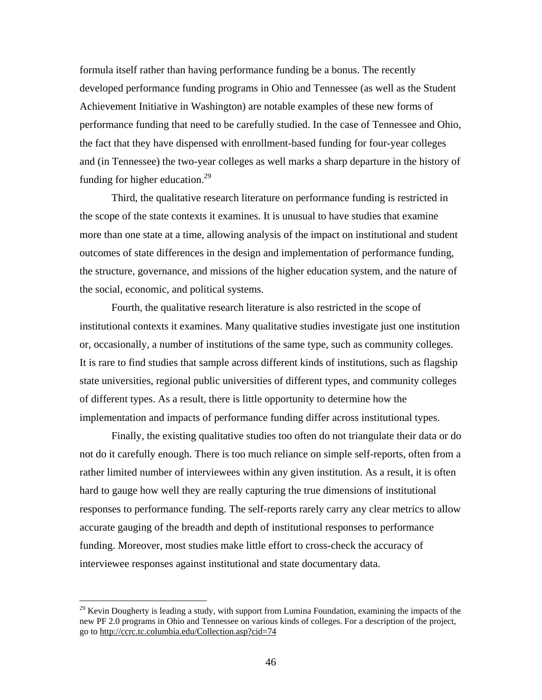formula itself rather than having performance funding be a bonus. The recently developed performance funding programs in Ohio and Tennessee (as well as the Student Achievement Initiative in Washington) are notable examples of these new forms of performance funding that need to be carefully studied. In the case of Tennessee and Ohio, the fact that they have dispensed with enrollment-based funding for four-year colleges and (in Tennessee) the two-year colleges as well marks a sharp departure in the history of funding for higher education.<sup>29</sup>

 Third, the qualitative research literature on performance funding is restricted in the scope of the state contexts it examines. It is unusual to have studies that examine more than one state at a time, allowing analysis of the impact on institutional and student outcomes of state differences in the design and implementation of performance funding, the structure, governance, and missions of the higher education system, and the nature of the social, economic, and political systems.

 Fourth, the qualitative research literature is also restricted in the scope of institutional contexts it examines. Many qualitative studies investigate just one institution or, occasionally, a number of institutions of the same type, such as community colleges. It is rare to find studies that sample across different kinds of institutions, such as flagship state universities, regional public universities of different types, and community colleges of different types. As a result, there is little opportunity to determine how the implementation and impacts of performance funding differ across institutional types.

 Finally, the existing qualitative studies too often do not triangulate their data or do not do it carefully enough. There is too much reliance on simple self-reports, often from a rather limited number of interviewees within any given institution. As a result, it is often hard to gauge how well they are really capturing the true dimensions of institutional responses to performance funding. The self-reports rarely carry any clear metrics to allow accurate gauging of the breadth and depth of institutional responses to performance funding. Moreover, most studies make little effort to cross-check the accuracy of interviewee responses against institutional and state documentary data.

<sup>&</sup>lt;sup>29</sup> Kevin Dougherty is leading a study, with support from Lumina Foundation, examining the impacts of the new PF 2.0 programs in Ohio and Tennessee on various kinds of colleges. For a description of the project, go to http://ccrc.tc.columbia.edu/Collection.asp?cid=74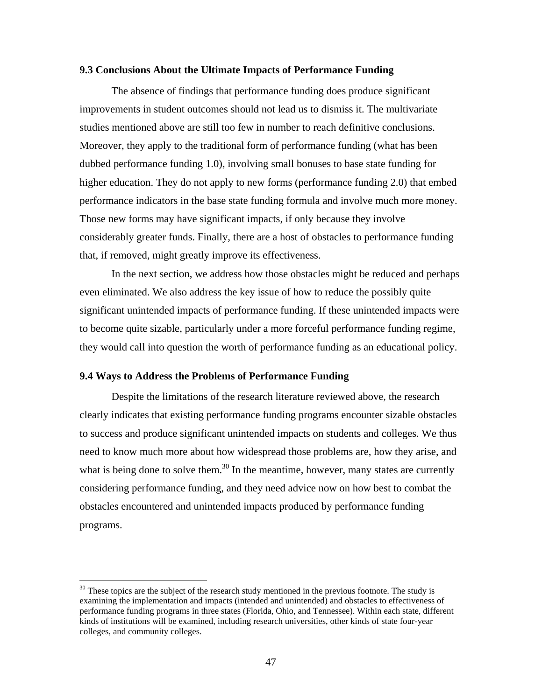## **9.3 Conclusions About the Ultimate Impacts of Performance Funding**

 The absence of findings that performance funding does produce significant improvements in student outcomes should not lead us to dismiss it. The multivariate studies mentioned above are still too few in number to reach definitive conclusions. Moreover, they apply to the traditional form of performance funding (what has been dubbed performance funding 1.0), involving small bonuses to base state funding for higher education. They do not apply to new forms (performance funding 2.0) that embed performance indicators in the base state funding formula and involve much more money. Those new forms may have significant impacts, if only because they involve considerably greater funds. Finally, there are a host of obstacles to performance funding that, if removed, might greatly improve its effectiveness.

 In the next section, we address how those obstacles might be reduced and perhaps even eliminated. We also address the key issue of how to reduce the possibly quite significant unintended impacts of performance funding. If these unintended impacts were to become quite sizable, particularly under a more forceful performance funding regime, they would call into question the worth of performance funding as an educational policy.

#### **9.4 Ways to Address the Problems of Performance Funding**

 $\overline{a}$ 

 Despite the limitations of the research literature reviewed above, the research clearly indicates that existing performance funding programs encounter sizable obstacles to success and produce significant unintended impacts on students and colleges. We thus need to know much more about how widespread those problems are, how they arise, and what is being done to solve them.<sup>30</sup> In the meantime, however, many states are currently considering performance funding, and they need advice now on how best to combat the obstacles encountered and unintended impacts produced by performance funding programs.

<sup>&</sup>lt;sup>30</sup> These topics are the subject of the research study mentioned in the previous footnote. The study is examining the implementation and impacts (intended and unintended) and obstacles to effectiveness of performance funding programs in three states (Florida, Ohio, and Tennessee). Within each state, different kinds of institutions will be examined, including research universities, other kinds of state four-year colleges, and community colleges.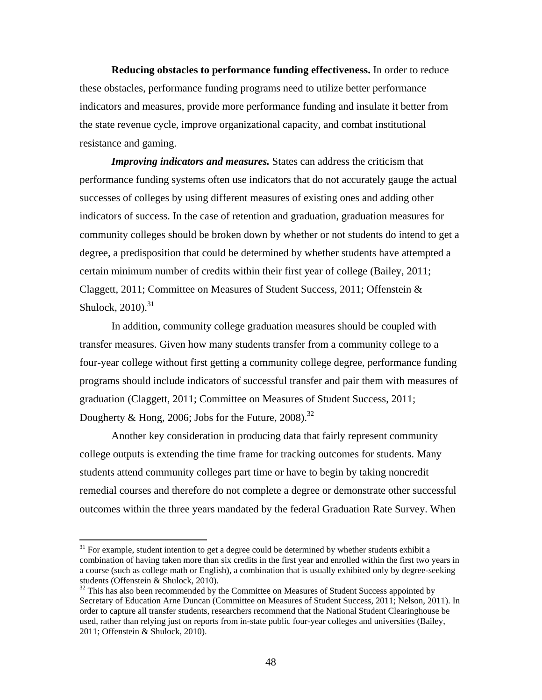**Reducing obstacles to performance funding effectiveness.** In order to reduce these obstacles, performance funding programs need to utilize better performance indicators and measures, provide more performance funding and insulate it better from the state revenue cycle, improve organizational capacity, and combat institutional resistance and gaming.

*Improving indicators and measures.* States can address the criticism that performance funding systems often use indicators that do not accurately gauge the actual successes of colleges by using different measures of existing ones and adding other indicators of success. In the case of retention and graduation, graduation measures for community colleges should be broken down by whether or not students do intend to get a degree, a predisposition that could be determined by whether students have attempted a certain minimum number of credits within their first year of college (Bailey, 2011; Claggett, 2011; Committee on Measures of Student Success, 2011; Offenstein & Shulock,  $2010$ .<sup>31</sup>

In addition, community college graduation measures should be coupled with transfer measures. Given how many students transfer from a community college to a four-year college without first getting a community college degree, performance funding programs should include indicators of successful transfer and pair them with measures of graduation (Claggett, 2011; Committee on Measures of Student Success, 2011; Dougherty & Hong, 2006; Jobs for the Future, 2008).<sup>32</sup>

Another key consideration in producing data that fairly represent community college outputs is extending the time frame for tracking outcomes for students. Many students attend community colleges part time or have to begin by taking noncredit remedial courses and therefore do not complete a degree or demonstrate other successful outcomes within the three years mandated by the federal Graduation Rate Survey. When

 $31$  For example, student intention to get a degree could be determined by whether students exhibit a combination of having taken more than six credits in the first year and enrolled within the first two years in a course (such as college math or English), a combination that is usually exhibited only by degree-seeking students (Offenstein & Shulock, 2010).

 $32$  This has also been recommended by the Committee on Measures of Student Success appointed by Secretary of Education Arne Duncan (Committee on Measures of Student Success, 2011; Nelson, 2011). In order to capture all transfer students, researchers recommend that the National Student Clearinghouse be used, rather than relying just on reports from in-state public four-year colleges and universities (Bailey, 2011; Offenstein & Shulock, 2010).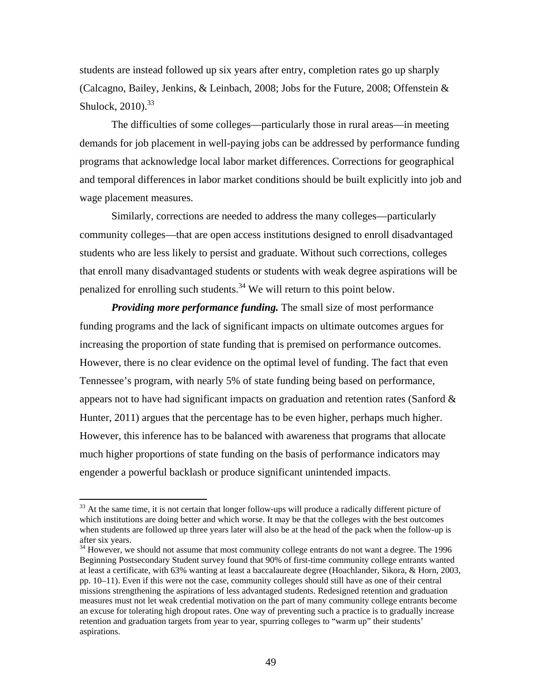students are instead followed up six years after entry, completion rates go up sharply (Calcagno, Bailey, Jenkins, & Leinbach, 2008; Jobs for the Future, 2008; Offenstein & Shulock,  $2010$ .  $33$ 

 The difficulties of some colleges—particularly those in rural areas—in meeting demands for job placement in well-paying jobs can be addressed by performance funding programs that acknowledge local labor market differences. Corrections for geographical and temporal differences in labor market conditions should be built explicitly into job and wage placement measures.

 Similarly, corrections are needed to address the many colleges—particularly community colleges—that are open access institutions designed to enroll disadvantaged students who are less likely to persist and graduate. Without such corrections, colleges that enroll many disadvantaged students or students with weak degree aspirations will be penalized for enrolling such students.<sup>34</sup> We will return to this point below.

*Providing more performance funding.* The small size of most performance funding programs and the lack of significant impacts on ultimate outcomes argues for increasing the proportion of state funding that is premised on performance outcomes. However, there is no clear evidence on the optimal level of funding. The fact that even Tennessee's program, with nearly 5% of state funding being based on performance, appears not to have had significant impacts on graduation and retention rates (Sanford  $\&$ Hunter, 2011) argues that the percentage has to be even higher, perhaps much higher. However, this inference has to be balanced with awareness that programs that allocate much higher proportions of state funding on the basis of performance indicators may engender a powerful backlash or produce significant unintended impacts.

<sup>&</sup>lt;sup>33</sup> At the same time, it is not certain that longer follow-ups will produce a radically different picture of which institutions are doing better and which worse. It may be that the colleges with the best outcomes when students are followed up three years later will also be at the head of the pack when the follow-up is after six years.

<sup>&</sup>lt;sup>34</sup> However, we should not assume that most community college entrants do not want a degree. The 1996 Beginning Postsecondary Student survey found that 90% of first-time community college entrants wanted at least a certificate, with 63% wanting at least a baccalaureate degree (Hoachlander, Sikora, & Horn, 2003, pp. 10–11). Even if this were not the case, community colleges should still have as one of their central missions strengthening the aspirations of less advantaged students. Redesigned retention and graduation measures must not let weak credential motivation on the part of many community college entrants become an excuse for tolerating high dropout rates. One way of preventing such a practice is to gradually increase retention and graduation targets from year to year, spurring colleges to "warm up" their students' aspirations.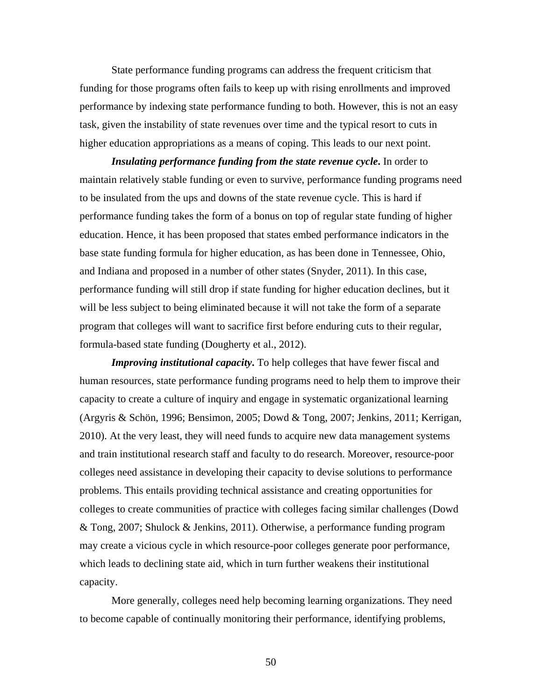State performance funding programs can address the frequent criticism that funding for those programs often fails to keep up with rising enrollments and improved performance by indexing state performance funding to both. However, this is not an easy task, given the instability of state revenues over time and the typical resort to cuts in higher education appropriations as a means of coping. This leads to our next point.

*Insulating performance funding from the state revenue cycle***.** In order to maintain relatively stable funding or even to survive, performance funding programs need to be insulated from the ups and downs of the state revenue cycle. This is hard if performance funding takes the form of a bonus on top of regular state funding of higher education. Hence, it has been proposed that states embed performance indicators in the base state funding formula for higher education, as has been done in Tennessee, Ohio, and Indiana and proposed in a number of other states (Snyder, 2011). In this case, performance funding will still drop if state funding for higher education declines, but it will be less subject to being eliminated because it will not take the form of a separate program that colleges will want to sacrifice first before enduring cuts to their regular, formula-based state funding (Dougherty et al., 2012).

*Improving institutional capacity***.** To help colleges that have fewer fiscal and human resources, state performance funding programs need to help them to improve their capacity to create a culture of inquiry and engage in systematic organizational learning (Argyris & Schön, 1996; Bensimon, 2005; Dowd & Tong, 2007; Jenkins, 2011; Kerrigan, 2010). At the very least, they will need funds to acquire new data management systems and train institutional research staff and faculty to do research. Moreover, resource-poor colleges need assistance in developing their capacity to devise solutions to performance problems. This entails providing technical assistance and creating opportunities for colleges to create communities of practice with colleges facing similar challenges (Dowd & Tong, 2007; Shulock & Jenkins, 2011). Otherwise, a performance funding program may create a vicious cycle in which resource-poor colleges generate poor performance, which leads to declining state aid, which in turn further weakens their institutional capacity.

 More generally, colleges need help becoming learning organizations. They need to become capable of continually monitoring their performance, identifying problems,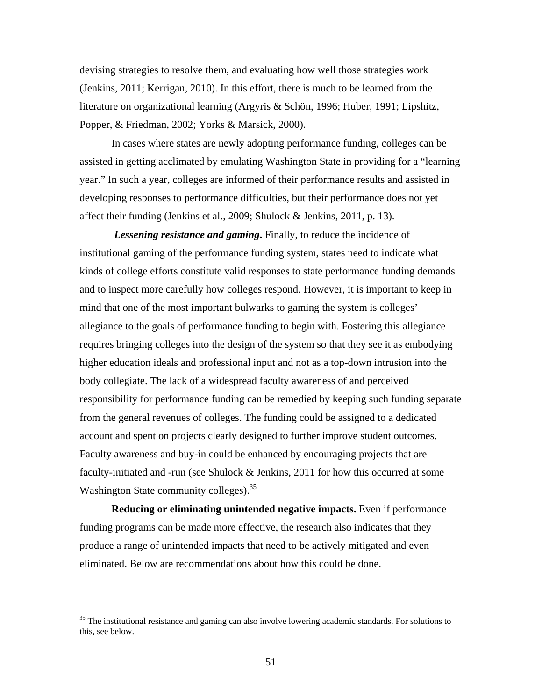devising strategies to resolve them, and evaluating how well those strategies work (Jenkins, 2011; Kerrigan, 2010). In this effort, there is much to be learned from the literature on organizational learning (Argyris & Schön, 1996; Huber, 1991; Lipshitz, Popper, & Friedman, 2002; Yorks & Marsick, 2000).

 In cases where states are newly adopting performance funding, colleges can be assisted in getting acclimated by emulating Washington State in providing for a "learning year." In such a year, colleges are informed of their performance results and assisted in developing responses to performance difficulties, but their performance does not yet affect their funding (Jenkins et al., 2009; Shulock & Jenkins, 2011, p. 13).

 *Lessening resistance and gaming***.** Finally, to reduce the incidence of institutional gaming of the performance funding system, states need to indicate what kinds of college efforts constitute valid responses to state performance funding demands and to inspect more carefully how colleges respond. However, it is important to keep in mind that one of the most important bulwarks to gaming the system is colleges' allegiance to the goals of performance funding to begin with. Fostering this allegiance requires bringing colleges into the design of the system so that they see it as embodying higher education ideals and professional input and not as a top-down intrusion into the body collegiate. The lack of a widespread faculty awareness of and perceived responsibility for performance funding can be remedied by keeping such funding separate from the general revenues of colleges. The funding could be assigned to a dedicated account and spent on projects clearly designed to further improve student outcomes. Faculty awareness and buy-in could be enhanced by encouraging projects that are faculty-initiated and -run (see Shulock & Jenkins, 2011 for how this occurred at some Washington State community colleges).<sup>35</sup>

**Reducing or eliminating unintended negative impacts.** Even if performance funding programs can be made more effective, the research also indicates that they produce a range of unintended impacts that need to be actively mitigated and even eliminated. Below are recommendations about how this could be done.

 $35$  The institutional resistance and gaming can also involve lowering academic standards. For solutions to this, see below.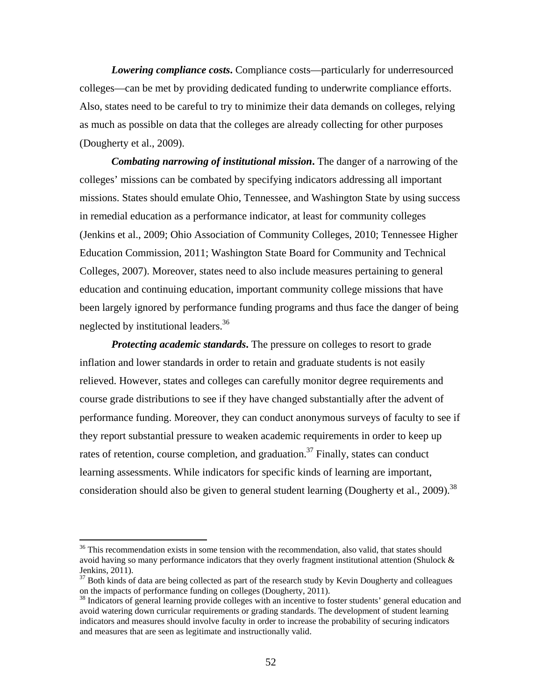*Lowering compliance costs***.** Compliance costs—particularly for underresourced colleges—can be met by providing dedicated funding to underwrite compliance efforts. Also, states need to be careful to try to minimize their data demands on colleges, relying as much as possible on data that the colleges are already collecting for other purposes (Dougherty et al., 2009).

*Combating narrowing of institutional mission***.** The danger of a narrowing of the colleges' missions can be combated by specifying indicators addressing all important missions. States should emulate Ohio, Tennessee, and Washington State by using success in remedial education as a performance indicator, at least for community colleges (Jenkins et al., 2009; Ohio Association of Community Colleges, 2010; Tennessee Higher Education Commission, 2011; Washington State Board for Community and Technical Colleges, 2007). Moreover, states need to also include measures pertaining to general education and continuing education, important community college missions that have been largely ignored by performance funding programs and thus face the danger of being neglected by institutional leaders.<sup>36</sup>

**Protecting academic standards.** The pressure on colleges to resort to grade inflation and lower standards in order to retain and graduate students is not easily relieved. However, states and colleges can carefully monitor degree requirements and course grade distributions to see if they have changed substantially after the advent of performance funding. Moreover, they can conduct anonymous surveys of faculty to see if they report substantial pressure to weaken academic requirements in order to keep up rates of retention, course completion, and graduation.<sup>37</sup> Finally, states can conduct learning assessments. While indicators for specific kinds of learning are important, consideration should also be given to general student learning (Dougherty et al., 2009).<sup>38</sup>

 $36$  This recommendation exists in some tension with the recommendation, also valid, that states should avoid having so many performance indicators that they overly fragment institutional attention (Shulock & Jenkins, 2011).

 $37$  Both kinds of data are being collected as part of the research study by Kevin Dougherty and colleagues on the impacts of performance funding on colleges (Dougherty, 2011).

<sup>&</sup>lt;sup>38</sup> Indicators of general learning provide colleges with an incentive to foster students' general education and avoid watering down curricular requirements or grading standards. The development of student learning indicators and measures should involve faculty in order to increase the probability of securing indicators and measures that are seen as legitimate and instructionally valid.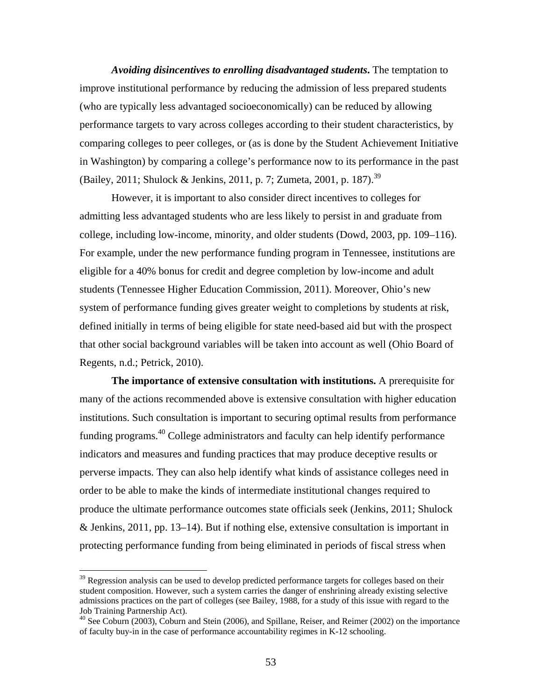*Avoiding disincentives to enrolling disadvantaged students***.** The temptation to improve institutional performance by reducing the admission of less prepared students (who are typically less advantaged socioeconomically) can be reduced by allowing performance targets to vary across colleges according to their student characteristics, by comparing colleges to peer colleges, or (as is done by the Student Achievement Initiative in Washington) by comparing a college's performance now to its performance in the past (Bailey, 2011; Shulock & Jenkins, 2011, p. 7; Zumeta, 2001, p. 187).<sup>39</sup>

 However, it is important to also consider direct incentives to colleges for admitting less advantaged students who are less likely to persist in and graduate from college, including low-income, minority, and older students (Dowd, 2003, pp. 109–116). For example, under the new performance funding program in Tennessee, institutions are eligible for a 40% bonus for credit and degree completion by low-income and adult students (Tennessee Higher Education Commission, 2011). Moreover, Ohio's new system of performance funding gives greater weight to completions by students at risk, defined initially in terms of being eligible for state need-based aid but with the prospect that other social background variables will be taken into account as well (Ohio Board of Regents, n.d.; Petrick, 2010).

**The importance of extensive consultation with institutions.** A prerequisite for many of the actions recommended above is extensive consultation with higher education institutions. Such consultation is important to securing optimal results from performance funding programs.40 College administrators and faculty can help identify performance indicators and measures and funding practices that may produce deceptive results or perverse impacts. They can also help identify what kinds of assistance colleges need in order to be able to make the kinds of intermediate institutional changes required to produce the ultimate performance outcomes state officials seek (Jenkins, 2011; Shulock & Jenkins,  $2011$ , pp. 13–14). But if nothing else, extensive consultation is important in protecting performance funding from being eliminated in periods of fiscal stress when

<sup>&</sup>lt;sup>39</sup> Regression analysis can be used to develop predicted performance targets for colleges based on their student composition. However, such a system carries the danger of enshrining already existing selective admissions practices on the part of colleges (see Bailey, 1988, for a study of this issue with regard to the Job Training Partnership Act).

<sup>&</sup>lt;sup>40</sup> See Coburn (2003), Coburn and Stein (2006), and Spillane, Reiser, and Reimer (2002) on the importance of faculty buy-in in the case of performance accountability regimes in K-12 schooling.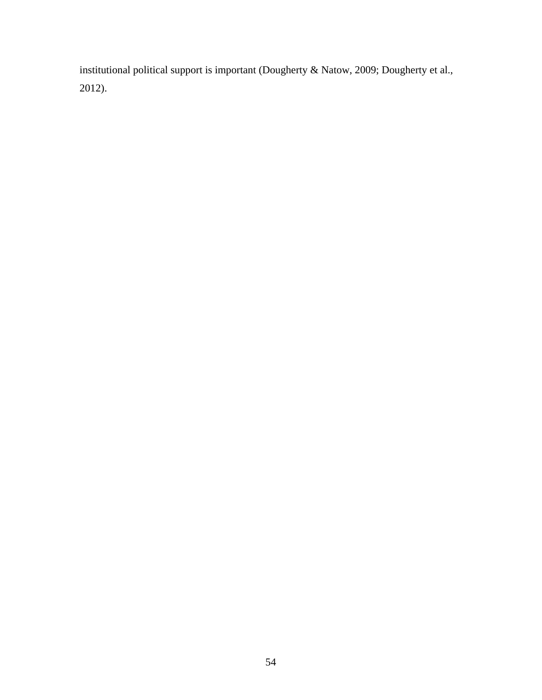institutional political support is important (Dougherty & Natow, 2009; Dougherty et al., 2012).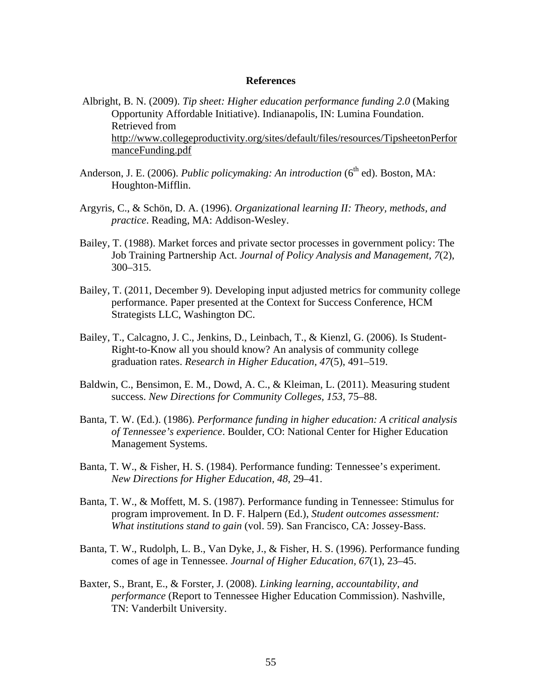### **References**

- Albright, B. N. (2009). *Tip sheet: Higher education performance funding 2.0* (Making Opportunity Affordable Initiative). Indianapolis, IN: Lumina Foundation. Retrieved from http://www.collegeproductivity.org/sites/default/files/resources/TipsheetonPerfor manceFunding.pdf
- Anderson, J. E. (2006). *Public policymaking: An introduction* (6<sup>th</sup> ed). Boston. MA: Houghton-Mifflin.
- Argyris, C., & Schön, D. A. (1996). *Organizational learning II: Theory, methods, and practice*. Reading, MA: Addison-Wesley.
- Bailey, T. (1988). Market forces and private sector processes in government policy: The Job Training Partnership Act. *Journal of Policy Analysis and Management, 7*(2), 300–315.
- Bailey, T. (2011, December 9). Developing input adjusted metrics for community college performance. Paper presented at the Context for Success Conference, HCM Strategists LLC, Washington DC.
- Bailey, T., Calcagno, J. C., Jenkins, D., Leinbach, T., & Kienzl, G. (2006). Is Student-Right-to-Know all you should know? An analysis of community college graduation rates. *Research in Higher Education, 47*(5), 491–519.
- Baldwin, C., Bensimon, E. M., Dowd, A. C., & Kleiman, L. (2011). Measuring student success. *New Directions for Community Colleges, 153*, 75–88.
- Banta, T. W. (Ed.). (1986). *Performance funding in higher education: A critical analysis of Tennessee's experience*. Boulder, CO: National Center for Higher Education Management Systems.
- Banta, T. W., & Fisher, H. S. (1984). Performance funding: Tennessee's experiment. *New Directions for Higher Education, 48*, 29–41.
- Banta, T. W., & Moffett, M. S. (1987). Performance funding in Tennessee: Stimulus for program improvement. In D. F. Halpern (Ed.), *Student outcomes assessment: What institutions stand to gain* (vol. 59). San Francisco, CA: Jossey-Bass.
- Banta, T. W., Rudolph, L. B., Van Dyke, J., & Fisher, H. S. (1996). Performance funding comes of age in Tennessee. *Journal of Higher Education, 67*(1), 23–45.
- Baxter, S., Brant, E., & Forster, J. (2008). *Linking learning, accountability, and performance* (Report to Tennessee Higher Education Commission). Nashville, TN: Vanderbilt University.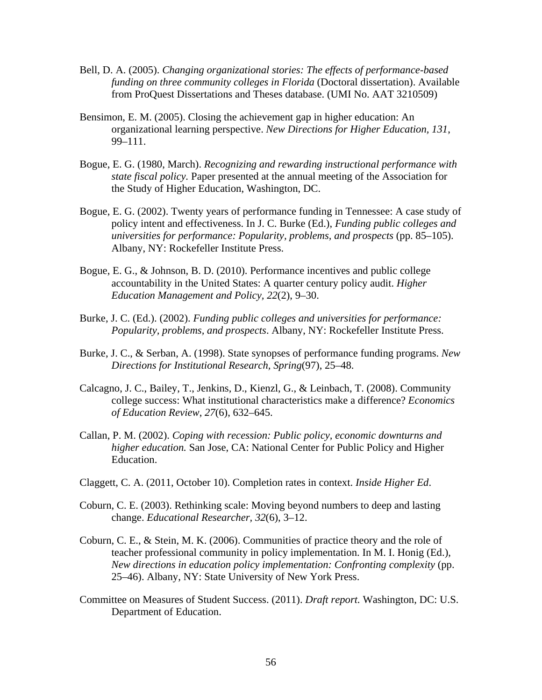- Bell, D. A. (2005). *Changing organizational stories: The effects of performance-based funding on three community colleges in Florida* (Doctoral dissertation). Available from ProQuest Dissertations and Theses database. (UMI No. AAT 3210509)
- Bensimon, E. M. (2005). Closing the achievement gap in higher education: An organizational learning perspective. *New Directions for Higher Education, 131*, 99–111.
- Bogue, E. G. (1980, March). *Recognizing and rewarding instructional performance with state fiscal policy.* Paper presented at the annual meeting of the Association for the Study of Higher Education, Washington, DC.
- Bogue, E. G. (2002). Twenty years of performance funding in Tennessee: A case study of policy intent and effectiveness. In J. C. Burke (Ed.), *Funding public colleges and universities for performance: Popularity, problems, and prospects* (pp. 85–105). Albany, NY: Rockefeller Institute Press.
- Bogue, E. G., & Johnson, B. D. (2010). Performance incentives and public college accountability in the United States: A quarter century policy audit. *Higher Education Management and Policy, 22*(2), 9–30.
- Burke, J. C. (Ed.). (2002). *Funding public colleges and universities for performance: Popularity, problems, and prospects*. Albany, NY: Rockefeller Institute Press.
- Burke, J. C., & Serban, A. (1998). State synopses of performance funding programs. *New Directions for Institutional Research, Spring*(97), 25–48.
- Calcagno, J. C., Bailey, T., Jenkins, D., Kienzl, G., & Leinbach, T. (2008). Community college success: What institutional characteristics make a difference? *Economics of Education Review*, *27*(6), 632–645.
- Callan, P. M. (2002). *Coping with recession: Public policy, economic downturns and higher education.* San Jose, CA: National Center for Public Policy and Higher Education.
- Claggett, C. A. (2011, October 10). Completion rates in context. *Inside Higher Ed*.
- Coburn, C. E. (2003). Rethinking scale: Moving beyond numbers to deep and lasting change. *Educational Researcher, 32*(6), 3–12.
- Coburn, C. E., & Stein, M. K. (2006). Communities of practice theory and the role of teacher professional community in policy implementation. In M. I. Honig (Ed.), *New directions in education policy implementation: Confronting complexity* (pp. 25–46). Albany, NY: State University of New York Press.
- Committee on Measures of Student Success. (2011). *Draft report.* Washington, DC: U.S. Department of Education.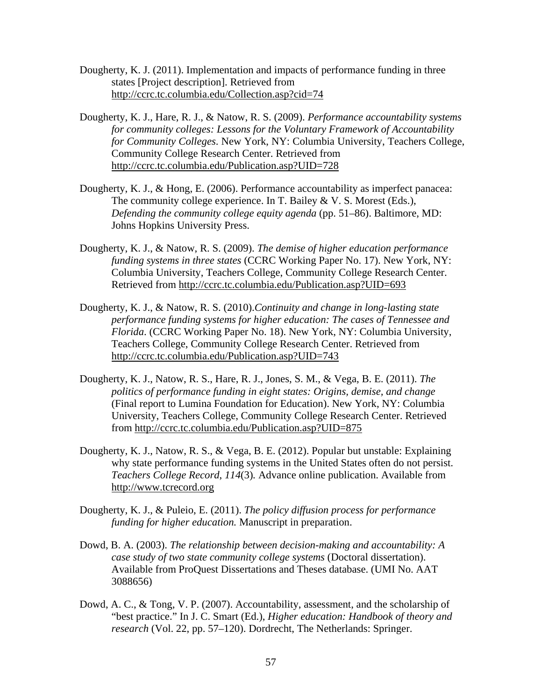- Dougherty, K. J. (2011). Implementation and impacts of performance funding in three states [Project description]. Retrieved from http://ccrc.tc.columbia.edu/Collection.asp?cid=74
- Dougherty, K. J., Hare, R. J., & Natow, R. S. (2009). *Performance accountability systems for community colleges: Lessons for the Voluntary Framework of Accountability for Community Colleges*. New York, NY: Columbia University, Teachers College, Community College Research Center. Retrieved from http://ccrc.tc.columbia.edu/Publication.asp?UID=728
- Dougherty, K. J., & Hong, E. (2006). Performance accountability as imperfect panacea: The community college experience. In T. Bailey & V. S. Morest (Eds.), *Defending the community college equity agenda* (pp. 51–86). Baltimore, MD: Johns Hopkins University Press.
- Dougherty, K. J., & Natow, R. S. (2009). *The demise of higher education performance funding systems in three states* (CCRC Working Paper No. 17). New York, NY: Columbia University, Teachers College, Community College Research Center. Retrieved from http://ccrc.tc.columbia.edu/Publication.asp?UID=693
- Dougherty, K. J., & Natow, R. S. (2010).*Continuity and change in long-lasting state performance funding systems for higher education: The cases of Tennessee and Florida*. (CCRC Working Paper No. 18). New York, NY: Columbia University, Teachers College, Community College Research Center. Retrieved from http://ccrc.tc.columbia.edu/Publication.asp?UID=743
- Dougherty, K. J., Natow, R. S., Hare, R. J., Jones, S. M., & Vega, B. E. (2011). *The politics of performance funding in eight states: Origins, demise, and change*  (Final report to Lumina Foundation for Education). New York, NY: Columbia University, Teachers College, Community College Research Center. Retrieved from http://ccrc.tc.columbia.edu/Publication.asp?UID=875
- Dougherty, K. J., Natow, R. S., & Vega, B. E. (2012). Popular but unstable: Explaining why state performance funding systems in the United States often do not persist. *Teachers College Record*, *114*(3)*.* Advance online publication. Available from http://www.tcrecord.org
- Dougherty, K. J., & Puleio, E. (2011). *The policy diffusion process for performance funding for higher education.* Manuscript in preparation.
- Dowd, B. A. (2003). *The relationship between decision-making and accountability: A case study of two state community college systems* (Doctoral dissertation). Available from ProQuest Dissertations and Theses database. (UMI No. AAT 3088656)
- Dowd, A. C., & Tong, V. P. (2007). Accountability, assessment, and the scholarship of "best practice." In J. C. Smart (Ed.), *Higher education: Handbook of theory and research* (Vol. 22, pp. 57–120). Dordrecht, The Netherlands: Springer.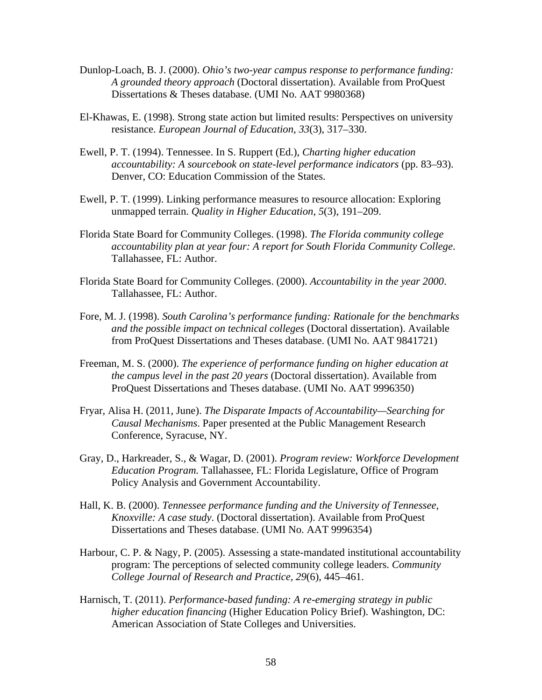- Dunlop-Loach, B. J. (2000). *Ohio's two-year campus response to performance funding: A grounded theory approach* (Doctoral dissertation). Available from ProQuest Dissertations & Theses database. (UMI No. AAT 9980368)
- El-Khawas, E. (1998). Strong state action but limited results: Perspectives on university resistance. *European Journal of Education*, *33*(3), 317–330.
- Ewell, P. T. (1994). Tennessee. In S. Ruppert (Ed.), *Charting higher education accountability: A sourcebook on state-level performance indicators* (pp. 83–93). Denver, CO: Education Commission of the States.
- Ewell, P. T. (1999). Linking performance measures to resource allocation: Exploring unmapped terrain. *Quality in Higher Education, 5*(3), 191–209.
- Florida State Board for Community Colleges. (1998). *The Florida community college accountability plan at year four: A report for South Florida Community College*. Tallahassee, FL: Author.
- Florida State Board for Community Colleges. (2000). *Accountability in the year 2000*. Tallahassee, FL: Author.
- Fore, M. J. (1998). *South Carolina's performance funding: Rationale for the benchmarks and the possible impact on technical colleges* (Doctoral dissertation). Available from ProQuest Dissertations and Theses database. (UMI No. AAT 9841721)
- Freeman, M. S. (2000). *The experience of performance funding on higher education at the campus level in the past 20 years* (Doctoral dissertation). Available from ProQuest Dissertations and Theses database. (UMI No. AAT 9996350)
- Fryar, Alisa H. (2011, June). *The Disparate Impacts of Accountability—Searching for Causal Mechanisms*. Paper presented at the Public Management Research Conference, Syracuse, NY.
- Gray, D., Harkreader, S., & Wagar, D. (2001). *Program review: Workforce Development Education Program.* Tallahassee, FL: Florida Legislature, Office of Program Policy Analysis and Government Accountability.
- Hall, K. B. (2000). *Tennessee performance funding and the University of Tennessee, Knoxville: A case study*. (Doctoral dissertation). Available from ProQuest Dissertations and Theses database. (UMI No. AAT 9996354)
- Harbour, C. P. & Nagy, P. (2005). Assessing a state-mandated institutional accountability program: The perceptions of selected community college leaders. *Community College Journal of Research and Practice, 29*(6), 445–461.
- Harnisch, T. (2011). *Performance-based funding: A re-emerging strategy in public higher education financing* (Higher Education Policy Brief). Washington, DC: American Association of State Colleges and Universities.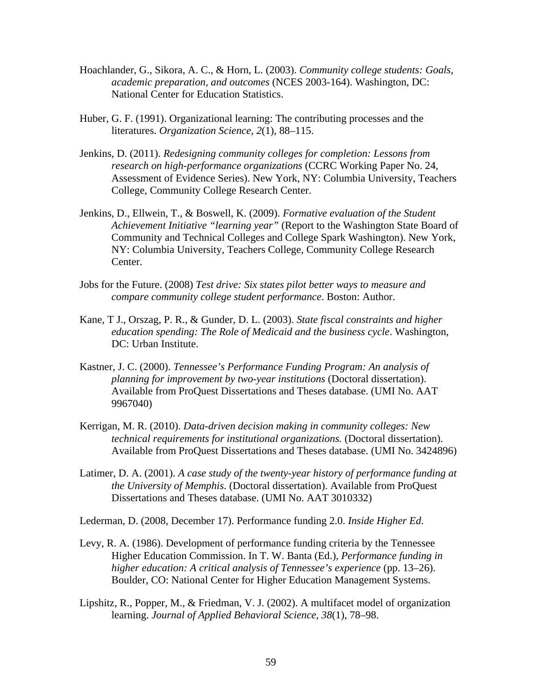- Hoachlander, G., Sikora, A. C., & Horn, L. (2003). *Community college students: Goals, academic preparation, and outcomes* (NCES 2003-164). Washington, DC: National Center for Education Statistics.
- Huber, G. F. (1991). Organizational learning: The contributing processes and the literatures. *Organization Science, 2*(1), 88–115.
- Jenkins, D. (2011). *Redesigning community colleges for completion: Lessons from research on high-performance organizations* (CCRC Working Paper No. 24, Assessment of Evidence Series). New York, NY: Columbia University, Teachers College, Community College Research Center.
- Jenkins, D., Ellwein, T., & Boswell, K. (2009). *Formative evaluation of the Student Achievement Initiative "learning year"* (Report to the Washington State Board of Community and Technical Colleges and College Spark Washington). New York, NY: Columbia University, Teachers College, Community College Research Center.
- Jobs for the Future. (2008) *Test drive: Six states pilot better ways to measure and compare community college student performance*. Boston: Author.
- Kane, T J., Orszag, P. R., & Gunder, D. L. (2003). *State fiscal constraints and higher education spending: The Role of Medicaid and the business cycle*. Washington, DC: Urban Institute.
- Kastner, J. C. (2000). *Tennessee's Performance Funding Program: An analysis of planning for improvement by two-year institutions* (Doctoral dissertation). Available from ProQuest Dissertations and Theses database. (UMI No. AAT 9967040)
- Kerrigan, M. R. (2010). *Data-driven decision making in community colleges: New technical requirements for institutional organizations.* (Doctoral dissertation). Available from ProQuest Dissertations and Theses database. (UMI No. 3424896)
- Latimer, D. A. (2001). *A case study of the twenty-year history of performance funding at the University of Memphis*. (Doctoral dissertation). Available from ProQuest Dissertations and Theses database. (UMI No. AAT 3010332)

Lederman, D. (2008, December 17). Performance funding 2.0. *Inside Higher Ed*.

- Levy, R. A. (1986). Development of performance funding criteria by the Tennessee Higher Education Commission. In T. W. Banta (Ed.), *Performance funding in higher education: A critical analysis of Tennessee's experience* (pp. 13–26). Boulder, CO: National Center for Higher Education Management Systems.
- Lipshitz, R., Popper, M., & Friedman, V. J. (2002). A multifacet model of organization learning. *Journal of Applied Behavioral Science*, *38*(1), 78–98.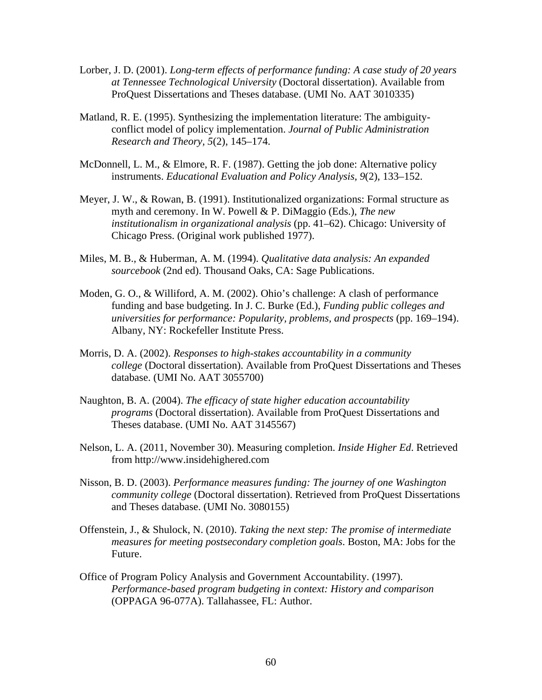- Lorber, J. D. (2001). *Long-term effects of performance funding: A case study of 20 years at Tennessee Technological University* (Doctoral dissertation). Available from ProQuest Dissertations and Theses database. (UMI No. AAT 3010335)
- Matland, R. E. (1995). Synthesizing the implementation literature: The ambiguityconflict model of policy implementation. *Journal of Public Administration Research and Theory, 5*(2), 145–174.
- McDonnell, L. M., & Elmore, R. F. (1987). Getting the job done: Alternative policy instruments. *Educational Evaluation and Policy Analysis, 9*(2), 133–152.
- Meyer, J. W., & Rowan, B. (1991). Institutionalized organizations: Formal structure as myth and ceremony. In W. Powell & P. DiMaggio (Eds.), *The new institutionalism in organizational analysis* (pp. 41–62). Chicago: University of Chicago Press. (Original work published 1977).
- Miles, M. B., & Huberman, A. M. (1994). *Qualitative data analysis: An expanded sourcebook* (2nd ed). Thousand Oaks, CA: Sage Publications.
- Moden, G. O., & Williford, A. M. (2002). Ohio's challenge: A clash of performance funding and base budgeting. In J. C. Burke (Ed.), *Funding public colleges and universities for performance: Popularity, problems, and prospects* (pp. 169–194). Albany, NY: Rockefeller Institute Press.
- Morris, D. A. (2002). *Responses to high-stakes accountability in a community college* (Doctoral dissertation). Available from ProQuest Dissertations and Theses database. (UMI No. AAT 3055700)
- Naughton, B. A. (2004). *The efficacy of state higher education accountability programs* (Doctoral dissertation). Available from ProQuest Dissertations and Theses database. (UMI No. AAT 3145567)
- Nelson, L. A. (2011, November 30). Measuring completion. *Inside Higher Ed*. Retrieved from http://www.insidehighered.com
- Nisson, B. D. (2003). *Performance measures funding: The journey of one Washington community college* (Doctoral dissertation). Retrieved from ProQuest Dissertations and Theses database. (UMI No. 3080155)
- Offenstein, J., & Shulock, N. (2010). *Taking the next step: The promise of intermediate measures for meeting postsecondary completion goals*. Boston, MA: Jobs for the Future.
- Office of Program Policy Analysis and Government Accountability. (1997). *Performance-based program budgeting in context: History and comparison* (OPPAGA 96-077A). Tallahassee, FL: Author.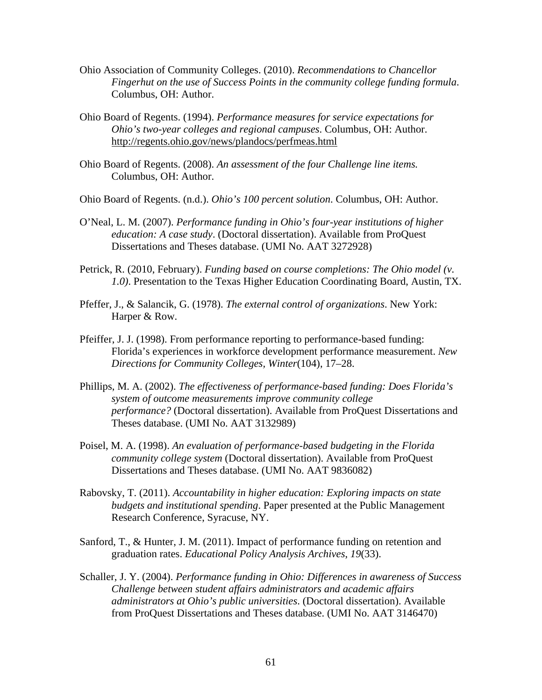- Ohio Association of Community Colleges. (2010). *Recommendations to Chancellor Fingerhut on the use of Success Points in the community college funding formula*. Columbus, OH: Author.
- Ohio Board of Regents. (1994). *Performance measures for service expectations for Ohio's two-year colleges and regional campuses*. Columbus, OH: Author. http://regents.ohio.gov/news/plandocs/perfmeas.html
- Ohio Board of Regents. (2008). *An assessment of the four Challenge line items.* Columbus, OH: Author.
- Ohio Board of Regents. (n.d.). *Ohio's 100 percent solution*. Columbus, OH: Author.
- O'Neal, L. M. (2007). *Performance funding in Ohio's four-year institutions of higher education: A case study*. (Doctoral dissertation). Available from ProQuest Dissertations and Theses database. (UMI No. AAT 3272928)
- Petrick, R. (2010, February). *Funding based on course completions: The Ohio model (v. 1.0)*. Presentation to the Texas Higher Education Coordinating Board, Austin, TX.
- Pfeffer, J., & Salancik, G. (1978). *The external control of organizations*. New York: Harper & Row.
- Pfeiffer, J. J. (1998). From performance reporting to performance-based funding: Florida's experiences in workforce development performance measurement. *New Directions for Community Colleges, Winter*(104), 17–28.
- Phillips, M. A. (2002). *The effectiveness of performance-based funding: Does Florida's system of outcome measurements improve community college performance?* (Doctoral dissertation). Available from ProQuest Dissertations and Theses database. (UMI No. AAT 3132989)
- Poisel, M. A. (1998). *An evaluation of performance-based budgeting in the Florida community college system* (Doctoral dissertation). Available from ProQuest Dissertations and Theses database. (UMI No. AAT 9836082)
- Rabovsky, T. (2011). *Accountability in higher education: Exploring impacts on state budgets and institutional spending*. Paper presented at the Public Management Research Conference, Syracuse, NY.
- Sanford, T., & Hunter, J. M. (2011). Impact of performance funding on retention and graduation rates. *Educational Policy Analysis Archives*, *19*(33).
- Schaller, J. Y. (2004). *Performance funding in Ohio: Differences in awareness of Success Challenge between student affairs administrators and academic affairs administrators at Ohio's public universities*. (Doctoral dissertation). Available from ProQuest Dissertations and Theses database. (UMI No. AAT 3146470)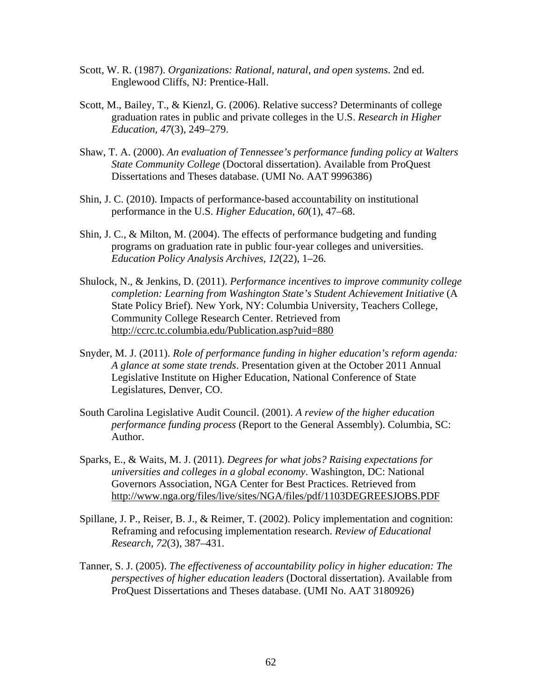- Scott, W. R. (1987). *Organizations: Rational, natural, and open systems*. 2nd ed. Englewood Cliffs, NJ: Prentice-Hall.
- Scott, M., Bailey, T., & Kienzl, G. (2006). Relative success? Determinants of college graduation rates in public and private colleges in the U.S. *Research in Higher Education, 47*(3), 249–279.
- Shaw, T. A. (2000). *An evaluation of Tennessee's performance funding policy at Walters State Community College* (Doctoral dissertation). Available from ProQuest Dissertations and Theses database. (UMI No. AAT 9996386)
- Shin, J. C. (2010). Impacts of performance-based accountability on institutional performance in the U.S. *Higher Education, 60*(1)*,* 47–68.
- Shin, J. C., & Milton, M. (2004). The effects of performance budgeting and funding programs on graduation rate in public four-year colleges and universities. *Education Policy Analysis Archives, 12*(22), 1–26.
- Shulock, N., & Jenkins, D. (2011). *Performance incentives to improve community college completion: Learning from Washington State's Student Achievement Initiative* (A State Policy Brief)*.* New York, NY: Columbia University, Teachers College, Community College Research Center. Retrieved from http://ccrc.tc.columbia.edu/Publication.asp?uid=880
- Snyder, M. J. (2011). *Role of performance funding in higher education's reform agenda: A glance at some state trends*. Presentation given at the October 2011 Annual Legislative Institute on Higher Education, National Conference of State Legislatures, Denver, CO.
- South Carolina Legislative Audit Council. (2001). *A review of the higher education performance funding process* (Report to the General Assembly). Columbia, SC: Author.
- Sparks, E., & Waits, M. J. (2011). *Degrees for what jobs? Raising expectations for universities and colleges in a global economy*. Washington, DC: National Governors Association, NGA Center for Best Practices. Retrieved from http://www.nga.org/files/live/sites/NGA/files/pdf/1103DEGREESJOBS.PDF
- Spillane, J. P., Reiser, B. J., & Reimer, T. (2002). Policy implementation and cognition: Reframing and refocusing implementation research. *Review of Educational Research, 72*(3), 387–431.
- Tanner, S. J. (2005). *The effectiveness of accountability policy in higher education: The perspectives of higher education leaders* (Doctoral dissertation). Available from ProQuest Dissertations and Theses database. (UMI No. AAT 3180926)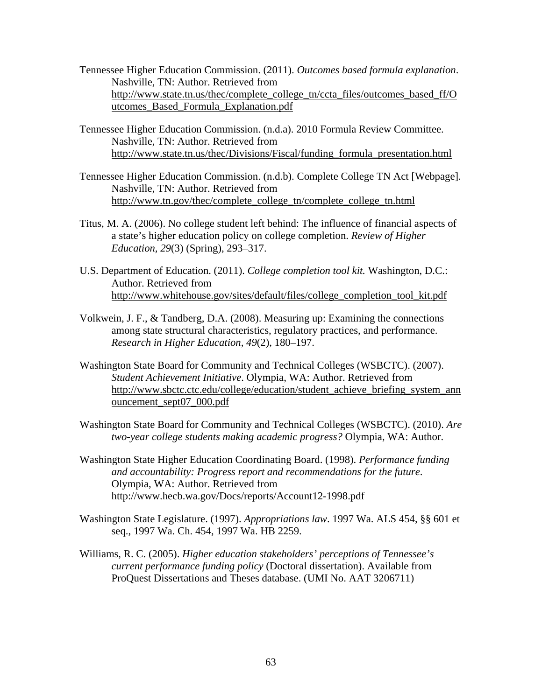- Tennessee Higher Education Commission. (2011). *Outcomes based formula explanation*. Nashville, TN: Author. Retrieved from http://www.state.tn.us/thec/complete\_college\_tn/ccta\_files/outcomes\_based\_ff/O utcomes\_Based\_Formula\_Explanation.pdf
- Tennessee Higher Education Commission. (n.d.a). 2010 Formula Review Committee. Nashville, TN: Author. Retrieved from http://www.state.tn.us/thec/Divisions/Fiscal/funding\_formula\_presentation.html
- Tennessee Higher Education Commission. (n.d.b). Complete College TN Act [Webpage]*.* Nashville, TN: Author. Retrieved from http://www.tn.gov/thec/complete\_college\_tn/complete\_college\_tn.html
- Titus, M. A. (2006). No college student left behind: The influence of financial aspects of a state's higher education policy on college completion. *Review of Higher Education, 29*(3) (Spring), 293–317.
- U.S. Department of Education. (2011). *College completion tool kit.* Washington, D.C.: Author. Retrieved from http://www.whitehouse.gov/sites/default/files/college\_completion\_tool\_kit.pdf
- Volkwein, J. F., & Tandberg, D.A. (2008). Measuring up: Examining the connections among state structural characteristics, regulatory practices, and performance. *Research in Higher Education, 49*(2), 180–197.
- Washington State Board for Community and Technical Colleges (WSBCTC). (2007). *Student Achievement Initiative*. Olympia, WA: Author. Retrieved from http://www.sbctc.ctc.edu/college/education/student\_achieve\_briefing\_system\_ann ouncement\_sept07\_000.pdf
- Washington State Board for Community and Technical Colleges (WSBCTC). (2010). *Are two-year college students making academic progress?* Olympia, WA: Author.
- Washington State Higher Education Coordinating Board. (1998). *Performance funding and accountability: Progress report and recommendations for the future*. Olympia, WA: Author. Retrieved from http://www.hecb.wa.gov/Docs/reports/Account12-1998.pdf
- Washington State Legislature. (1997). *Appropriations law*. 1997 Wa. ALS 454, §§ 601 et seq., 1997 Wa. Ch. 454, 1997 Wa. HB 2259.
- Williams, R. C. (2005). *Higher education stakeholders' perceptions of Tennessee's current performance funding policy* (Doctoral dissertation). Available from ProQuest Dissertations and Theses database. (UMI No. AAT 3206711)